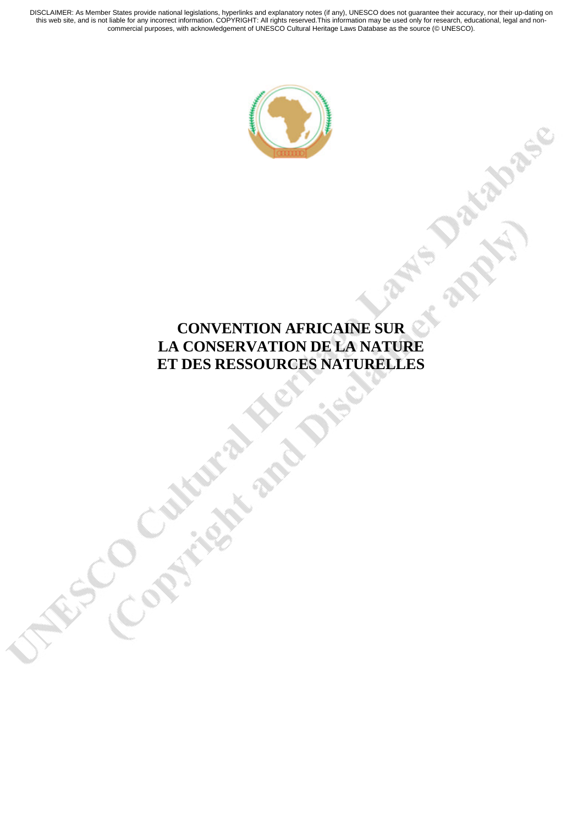

# **CONVENTION AFRICAINE SUR LA CONSERVATION DE LA NATURE ET DES RESSOURCES NATURELLES**<br>
COMPARATION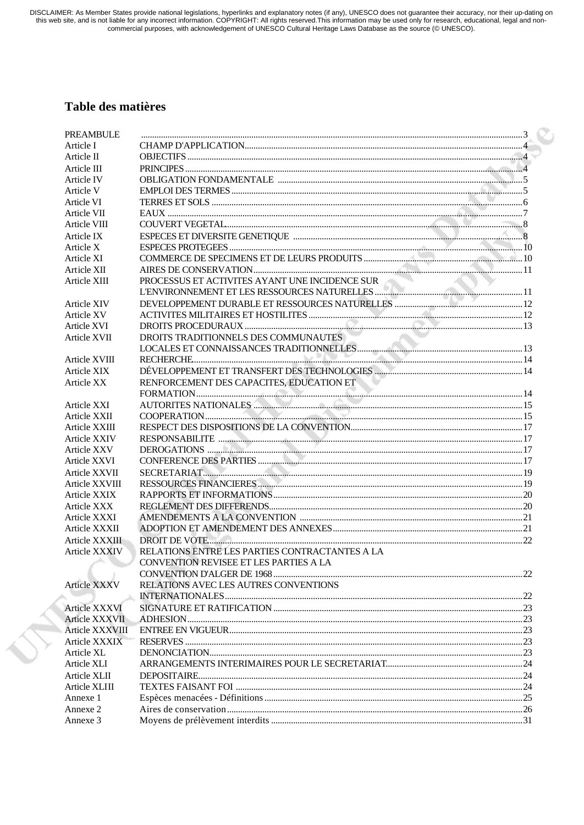DISCLAIMER: As Member States provide national legislations, hyperlinks and explanatory notes (if any), UNESCO does not guarantee their accuracy, nor their up-dating on<br>this web site, and is not liable for any incorrect inf

# Table des matières

ST.

| PREAMBULE           |                                                |  |
|---------------------|------------------------------------------------|--|
| Article I           |                                                |  |
| Article II          |                                                |  |
| Article III         |                                                |  |
| Article IV          |                                                |  |
| Article V           |                                                |  |
| Article VI          |                                                |  |
| Article VII         |                                                |  |
| Article VIII        |                                                |  |
| Article IX          |                                                |  |
| Article X           |                                                |  |
| Article XI          |                                                |  |
| Article XII         |                                                |  |
| Article XIII        | PROCESSUS ET ACTIVITES AYANT UNE INCIDENCE SUR |  |
|                     |                                                |  |
| <b>Article XIV</b>  |                                                |  |
| Article XV          |                                                |  |
| Article XVI         |                                                |  |
| Article XVII        | DROITS TRADITIONNELS DES COMMUNAUTES           |  |
|                     |                                                |  |
| Article XVIII       |                                                |  |
| <b>Article XIX</b>  |                                                |  |
| Article XX          | RENFORCEMENT DES CAPACITES, EDUCATION ET       |  |
|                     |                                                |  |
| Article XXI         |                                                |  |
| Article XXII        |                                                |  |
| Article XXIII       |                                                |  |
| <b>Article XXIV</b> |                                                |  |
| Article XXV         |                                                |  |
| Article XXVI        |                                                |  |
| Article XXVII       |                                                |  |
| Article XXVIII      |                                                |  |
| <b>Article XXIX</b> |                                                |  |
| Article XXX         |                                                |  |
| Article XXXI        |                                                |  |
| Article XXXII       |                                                |  |
| Article XXXIII      |                                                |  |
| Article XXXIV       | RELATIONS ENTRE LES PARTIES CONTRACTANTES A LA |  |
|                     | CONVENTION REVISEE ET LES PARTIES A LA         |  |
|                     |                                                |  |
| Article XXXV        | RELATIONS AVEC LES AUTRES CONVENTIONS          |  |
|                     |                                                |  |
| Article XXXVI       |                                                |  |
| Article XXXVII      |                                                |  |
| Article XXXVIII     |                                                |  |
| Article XXXIX       |                                                |  |
| Article XL          |                                                |  |
| Article XLI         |                                                |  |
| Article XLII        |                                                |  |
| Article XLIII       |                                                |  |
| Annexe 1            |                                                |  |
| Annexe 2            |                                                |  |
| Annexe 3            |                                                |  |
|                     |                                                |  |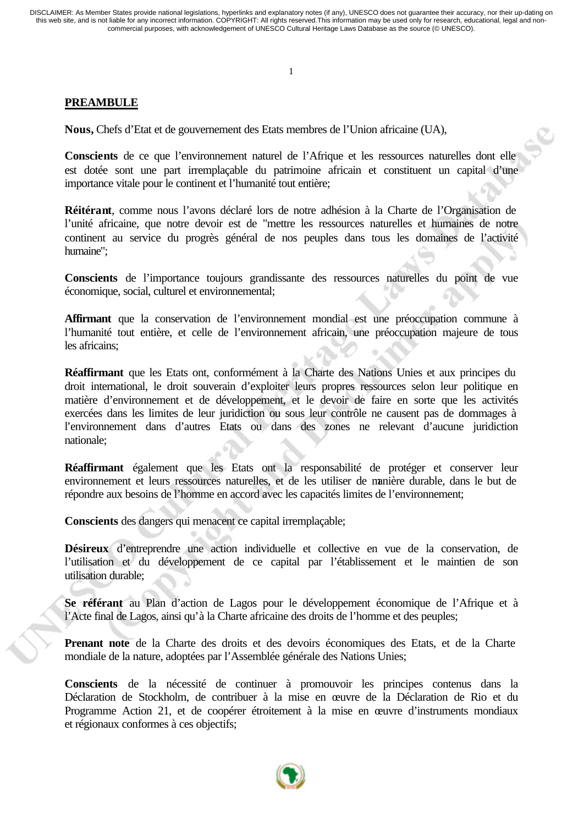1

# **PREAMBULE**

**Nous,** Chefs d'Etat et de gouvernement des Etats membres de l'Union africaine (UA),

**Conscients** de ce que l'environnement naturel de l'Afrique et les ressources naturelles dont elle est dotée sont une part irremplaçable du patrimoine africain et constituent un capital d'une importance vitale pour le continent et l'humanité tout entière;

**Réitérant**, comme nous l'avons déclaré lors de notre adhésion à la Charte de l'Organisation de l'unité africaine, que notre devoir est de "mettre les ressources naturelles et humaines de notre continent au service du progrès général de nos peuples dans tous les domaines de l'activité humaine";

**Conscients** de l'importance toujours grandissante des ressources naturelles du point de vue économique, social, culturel et environnemental;

**Affirmant** que la conservation de l'environnement mondial est une préoccupation commune à l'humanité tout entière, et celle de l'environnement africain, une préoccupation majeure de tous les africains;

**Réaffirmant** que les Etats ont, conformément à la Charte des Nations Unies et aux principes du droit international, le droit souverain d'exploiter leurs propres ressources selon leur politique en matière d'environnement et de développement, et le devoir de faire en sorte que les activités exercées dans les limites de leur juridiction ou sous leur contrôle ne causent pas de dommages à l'environnement dans d'autres Etats ou dans des zones ne relevant d'aucune juridiction nationale;

**Réaffirmant** également que les Etats ont la responsabilité de protéger et conserver leur environnement et leurs ressources naturelles, et de les utiliser de manière durable, dans le but de répondre aux besoins de l'homme en accord avec les capacités limites de l'environnement;

**Conscients** des dangers qui menacent ce capital irremplaçable;

Désireux d'entreprendre une action individuelle et collective en vue de la conservation, de l'utilisation et du développement de ce capital par l'établissement et le maintien de son utilisation durable;

**Se référant** au Plan d'action de Lagos pour le développement économique de l'Afrique et à l'Acte final de Lagos, ainsi qu'à la Charte africaine des droits de l'homme et des peuples;

**Prenant note** de la Charte des droits et des devoirs économiques des Etats, et de la Charte mondiale de la nature, adoptées par l'Assemblée générale des Nations Unies;

**Conscients** de la nécessité de continuer à promouvoir les principes contenus dans la Déclaration de Stockholm, de contribuer à la mise en œuvre de la Déclaration de Rio et du Programme Action 21, et de coopérer étroitement à la mise en œuvre d'instruments mondiaux et régionaux conformes à ces objectifs;

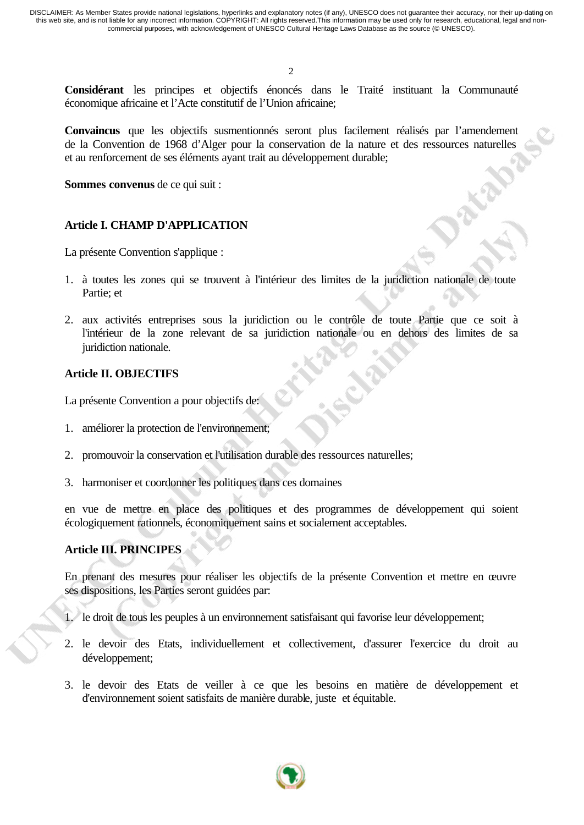2

**Considérant** les principes et objectifs énoncés dans le Traité instituant la Communauté économique africaine et l'Acte constitutif de l'Union africaine;

**Convaincus** que les objectifs susmentionnés seront plus facilement réalisés par l'amendement de la Convention de 1968 d'Alger pour la conservation de la nature et des ressources naturelles et au renforcement de ses éléments ayant trait au développement durable;

**Sommes convenus** de ce qui suit :

## **Article I. CHAMP D'APPLICATION**

La présente Convention s'applique :

- 1. à toutes les zones qui se trouvent à l'intérieur des limites de la juridiction nationale de toute Partie; et
- 2. aux activités entreprises sous la juridiction ou le contrôle de toute Partie que ce soit à l'intérieur de la zone relevant de sa juridiction nationale ou en dehors des limites de sa juridiction nationale.

## **Article II. OBJECTIFS**

La présente Convention a pour objectifs de:

- 1. améliorer la protection de l'environnement;
- 2. promouvoir la conservation et l'utilisation durable des ressources naturelles;
- 3. harmoniser et coordonner les politiques dans ces domaines

en vue de mettre en place des politiques et des programmes de développement qui soient écologiquement rationnels, économiquement sains et socialement acceptables.

# **Article III. PRINCIPES**

En prenant des mesures pour réaliser les objectifs de la présente Convention et mettre en œuvre ses dispositions, les Parties seront guidées par:

- 1. le droit de tous les peuples à un environnement satisfaisant qui favorise leur développement;
- 2. le devoir des Etats, individuellement et collectivement, d'assurer l'exercice du droit au développement;
- 3. le devoir des Etats de veiller à ce que les besoins en matière de développement et d'environnement soient satisfaits de manière durable, juste et équitable.

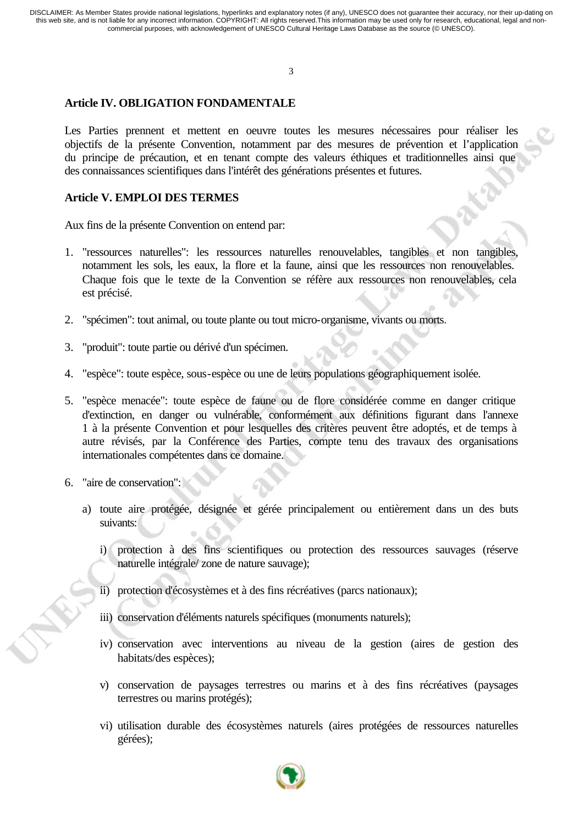3

# **Article IV. OBLIGATION FONDAMENTALE**

Les Parties prennent et mettent en oeuvre toutes les mesures nécessaires pour réaliser les objectifs de la présente Convention, notamment par des mesures de prévention et l'application du principe de précaution, et en tenant compte des valeurs éthiques et traditionnelles ainsi que des connaissances scientifiques dans l'intérêt des générations présentes et futures.

# **Article V. EMPLOI DES TERMES**

Aux fins de la présente Convention on entend par:

- 1. "ressources naturelles": les ressources naturelles renouvelables, tangibles et non tangibles, notamment les sols, les eaux, la flore et la faune, ainsi que les ressources non renouvelables. Chaque fois que le texte de la Convention se réfère aux ressources non renouvelables, cela est précisé.
- 2. "spécimen": tout animal, ou toute plante ou tout micro-organisme, vivants ou morts.
- 3. "produit": toute partie ou dérivé d'un spécimen.
- 4. "espèce": toute espèce, sous-espèce ou une de leurs populations géographiquement isolée.
- 5. "espèce menacée": toute espèce de faune ou de flore considérée comme en danger critique d'extinction, en danger ou vulnérable, conformément aux définitions figurant dans l'annexe 1 à la présente Convention et pour lesquelles des critères peuvent être adoptés, et de temps à autre révisés, par la Conférence des Parties, compte tenu des travaux des organisations internationales compétentes dans ce domaine.
- 6. "aire de conservation":
	- a) toute aire protégée, désignée et gérée principalement ou entièrement dans un des buts suivants:
		- i) protection à des fins scientifiques ou protection des ressources sauvages (réserve naturelle intégrale/ zone de nature sauvage);
		- ii) protection d'écosystèmes et à des fins récréatives (parcs nationaux);
		- iii) conservation d'éléments naturels spécifiques (monuments naturels);
		- iv) conservation avec interventions au niveau de la gestion (aires de gestion des habitats/des espèces);
		- v) conservation de paysages terrestres ou marins et à des fins récréatives (paysages terrestres ou marins protégés);
		- vi) utilisation durable des écosystèmes naturels (aires protégées de ressources naturelles gérées);

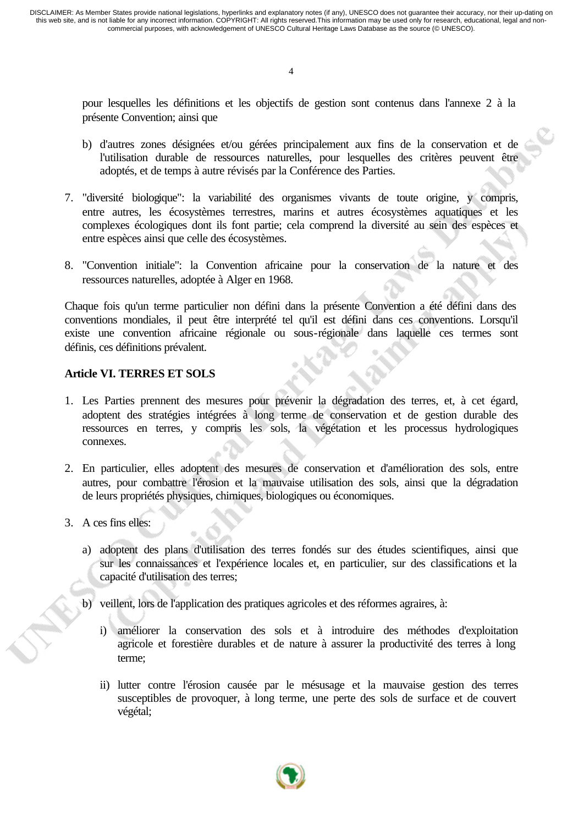4

pour lesquelles les définitions et les objectifs de gestion sont contenus dans l'annexe 2 à la présente Convention; ainsi que

- b) d'autres zones désignées et/ou gérées principalement aux fins de la conservation et de l'utilisation durable de ressources naturelles, pour lesquelles des critères peuvent être adoptés, et de temps à autre révisés par la Conférence des Parties.
- 7. "diversité biologique": la variabilité des organismes vivants de toute origine, y compris, entre autres, les écosystèmes terrestres, marins et autres écosystèmes aquatiques et les complexes écologiques dont ils font partie; cela comprend la diversité au sein des espèces et entre espèces ainsi que celle des écosystèmes.
- 8. "Convention initiale": la Convention africaine pour la conservation de la nature et des ressources naturelles, adoptée à Alger en 1968.

Chaque fois qu'un terme particulier non défini dans la présente Convention a été défini dans des conventions mondiales, il peut être interprété tel qu'il est défini dans ces conventions. Lorsqu'il existe une convention africaine régionale ou sous-régionale dans laquelle ces termes sont définis, ces définitions prévalent.

#### **Article VI. TERRES ET SOLS**

- 1. Les Parties prennent des mesures pour prévenir la dégradation des terres, et, à cet égard, adoptent des stratégies intégrées à long terme de conservation et de gestion durable des ressources en terres, y compris les sols, la végétation et les processus hydrologiques connexes.
- 2. En particulier, elles adoptent des mesures de conservation et d'amélioration des sols, entre autres, pour combattre l'érosion et la mauvaise utilisation des sols, ainsi que la dégradation de leurs propriétés physiques, chimiques, biologiques ou économiques.
- 3. A ces fins elles:
	- a) adoptent des plans d'utilisation des terres fondés sur des études scientifiques, ainsi que sur les connaissances et l'expérience locales et, en particulier, sur des classifications et la capacité d'utilisation des terres;
	- b) veillent, lors de l'application des pratiques agricoles et des réformes agraires, à:
		- i) améliorer la conservation des sols et à introduire des méthodes d'exploitation agricole et forestière durables et de nature à assurer la productivité des terres à long terme;
		- ii) lutter contre l'érosion causée par le mésusage et la mauvaise gestion des terres susceptibles de provoquer, à long terme, une perte des sols de surface et de couvert végétal;

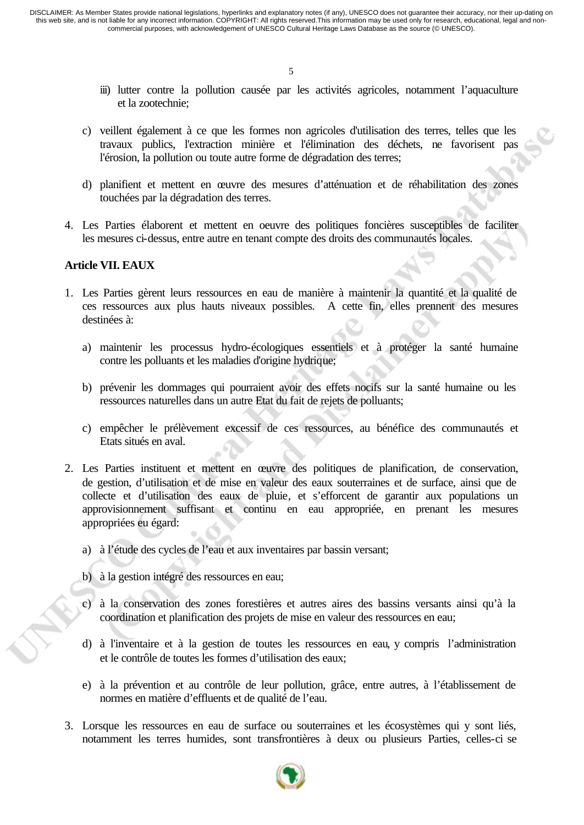- iii) lutter contre la pollution causée par les activités agricoles, notamment l'aquaculture et la zootechnie;
- c) veillent également à ce que les formes non agricoles d'utilisation des terres, telles que les travaux publics, l'extraction minière et l'élimination des déchets, ne favorisent pas l'érosion, la pollution ou toute autre forme de dégradation des terres;
- d) planifient et mettent en œuvre des mesures d'atténuation et de réhabilitation des zones touchées par la dégradation des terres.
- 4. Les Parties élaborent et mettent en oeuvre des politiques foncières susceptibles de faciliter les mesures ci-dessus, entre autre en tenant compte des droits des communautés locales.

#### **Article VII. EAUX**

- 1. Les Parties gèrent leurs ressources en eau de manière à maintenir la quantité et la qualité de ces ressources aux plus hauts niveaux possibles. A cette fin, elles prennent des mesures destinées à:
	- a) maintenir les processus hydro-écologiques essentiels et à protéger la santé humaine contre les polluants et les maladies d'origine hydrique;
	- b) prévenir les dommages qui pourraient avoir des effets nocifs sur la santé humaine ou les ressources naturelles dans un autre Etat du fait de rejets de polluants;
	- c) empêcher le prélèvement excessif de ces ressources, au bénéfice des communautés et Etats situés en aval.
- 2. Les Parties instituent et mettent en œuvre des politiques de planification, de conservation, de gestion, d'utilisation et de mise en valeur des eaux souterraines et de surface, ainsi que de collecte et d'utilisation des eaux de pluie, et s'efforcent de garantir aux populations un approvisionnement suffisant et continu en eau appropriée, en prenant les mesures appropriées eu égard:
	- a) à l'étude des cycles de l'eau et aux inventaires par bassin versant;
	- b) à la gestion intégré des ressources en eau;
	- c) à la conservation des zones forestières et autres aires des bassins versants ainsi qu'à la coordination et planification des projets de mise en valeur des ressources en eau;
	- d) à l'inventaire et à la gestion de toutes les ressources en eau, y compris l'administration et le contrôle de toutes les formes d'utilisation des eaux;
	- e) à la prévention et au contrôle de leur pollution, grâce, entre autres, à l'établissement de normes en matière d'effluents et de qualité de l'eau.
- 3. Lorsque les ressources en eau de surface ou souterraines et les écosystèmes qui y sont liés, notamment les terres humides, sont transfrontières à deux ou plusieurs Parties, celles-ci se

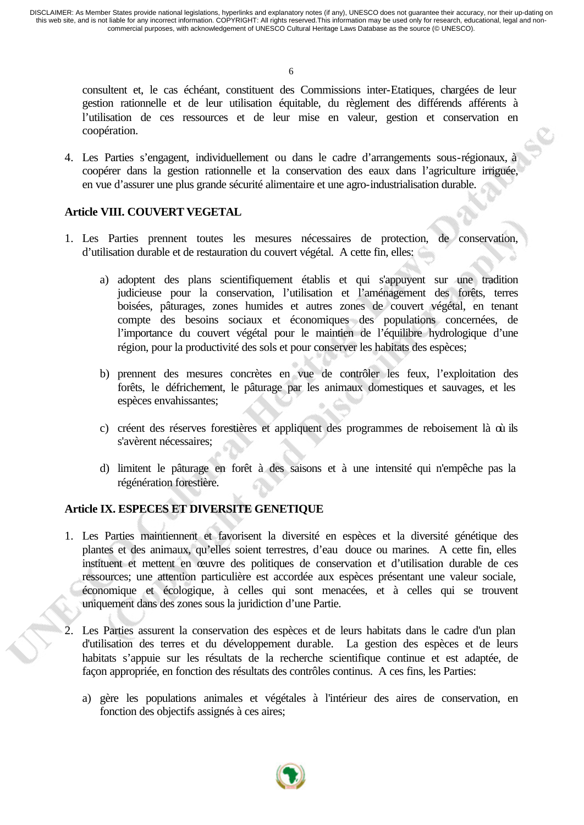6

consultent et, le cas échéant, constituent des Commissions inter-Etatiques, chargées de leur gestion rationnelle et de leur utilisation équitable, du règlement des différends afférents à l'utilisation de ces ressources et de leur mise en valeur, gestion et conservation en coopération.

4. Les Parties s'engagent, individuellement ou dans le cadre d'arrangements sous-régionaux, à coopérer dans la gestion rationnelle et la conservation des eaux dans l'agriculture irriguée, en vue d'assurer une plus grande sécurité alimentaire et une agro-industrialisation durable.

## **Article VIII. COUVERT VEGETAL**

- 1. Les Parties prennent toutes les mesures nécessaires de protection, de conservation, d'utilisation durable et de restauration du couvert végétal. A cette fin, elles:
	- a) adoptent des plans scientifiquement établis et qui s'appuyent sur une tradition judicieuse pour la conservation, l'utilisation et l'aménagement des forêts, terres boisées, pâturages, zones humides et autres zones de couvert végétal, en tenant compte des besoins sociaux et économiques des populations concernées, de l'importance du couvert végétal pour le maintien de l'équilibre hydrologique d'une région, pour la productivité des sols et pour conserver les habitats des espèces;
	- b) prennent des mesures concrètes en vue de contrôler les feux, l'exploitation des forêts, le défrichement, le pâturage par les animaux domestiques et sauvages, et les espèces envahissantes;
	- c) créent des réserves forestières et appliquent des programmes de reboisement là où ils s'avèrent nécessaires;
	- d) limitent le pâturage en forêt à des saisons et à une intensité qui n'empêche pas la régénération forestière.

# **Article IX. ESPECES ET DIVERSITE GENETIQUE**

- 1. Les Parties maintiennent et favorisent la diversité en espèces et la diversité génétique des plantes et des animaux, qu'elles soient terrestres, d'eau douce ou marines. A cette fin, elles instituent et mettent en œuvre des politiques de conservation et d'utilisation durable de ces ressources; une attention particulière est accordée aux espèces présentant une valeur sociale, économique et écologique, à celles qui sont menacées, et à celles qui se trouvent uniquement dans des zones sous la juridiction d'une Partie.
- 2. Les Parties assurent la conservation des espèces et de leurs habitats dans le cadre d'un plan d'utilisation des terres et du développement durable. La gestion des espèces et de leurs habitats s'appuie sur les résultats de la recherche scientifique continue et est adaptée, de façon appropriée, en fonction des résultats des contrôles continus. A ces fins, les Parties:
	- a) gère les populations animales et végétales à l'intérieur des aires de conservation, en fonction des objectifs assignés à ces aires;

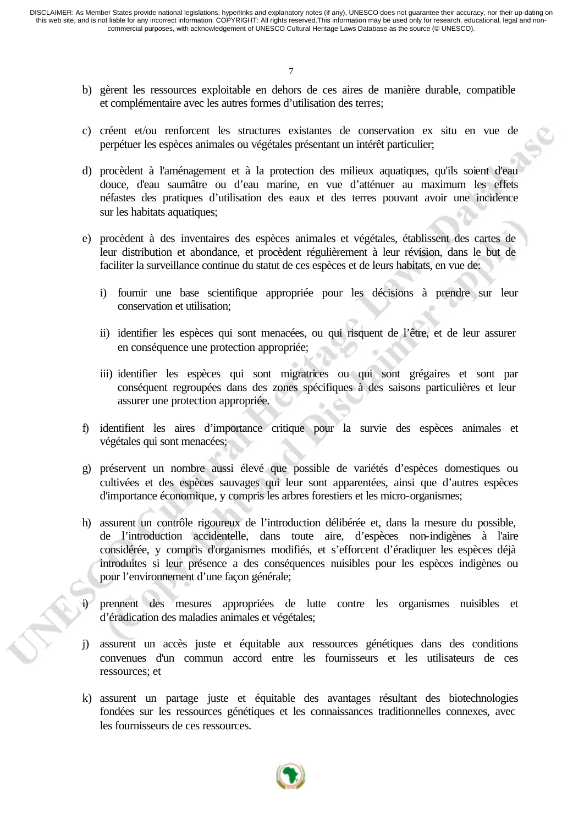- b) gèrent les ressources exploitable en dehors de ces aires de manière durable, compatible et complémentaire avec les autres formes d'utilisation des terres;
- c) créent et/ou renforcent les structures existantes de conservation ex situ en vue de perpétuer les espèces animales ou végétales présentant un intérêt particulier;
- d) procèdent à l'aménagement et à la protection des milieux aquatiques, qu'ils soient d'eau douce, d'eau saumâtre ou d'eau marine, en vue d'atténuer au maximum les effets néfastes des pratiques d'utilisation des eaux et des terres pouvant avoir une incidence sur les habitats aquatiques;
- e) procèdent à des inventaires des espèces animales et végétales, établissent des cartes de leur distribution et abondance, et procèdent régulièrement à leur révision, dans le but de faciliter la surveillance continue du statut de ces espèces et de leurs habitats, en vue de:
	- i) fournir une base scientifique appropriée pour les décisions à prendre sur leur conservation et utilisation;
	- ii) identifier les espèces qui sont menacées, ou qui risquent de l'être, et de leur assurer en conséquence une protection appropriée;
	- iii) identifier les espèces qui sont migratrices ou qui sont grégaires et sont par conséquent regroupées dans des zones spécifiques à des saisons particulières et leur assurer une protection appropriée.
- f) identifient les aires d'importance critique pour la survie des espèces animales et végétales qui sont menacées;
- g) préservent un nombre aussi élevé que possible de variétés d'espèces domestiques ou cultivées et des espèces sauvages qui leur sont apparentées, ainsi que d'autres espèces d'importance économique, y compris les arbres forestiers et les micro-organismes;
- h) assurent un contrôle rigoureux de l'introduction délibérée et, dans la mesure du possible, de l'introduction accidentelle, dans toute aire, d'espèces non-indigènes à l'aire considérée, y compris d'organismes modifiés, et s'efforcent d'éradiquer les espèces déjà introduites si leur présence a des conséquences nuisibles pour les espèces indigènes ou pour l'environnement d'une façon générale;
- i) prennent des mesures appropriées de lutte contre les organismes nuisibles et d'éradication des maladies animales et végétales;
- j) assurent un accès juste et équitable aux ressources génétiques dans des conditions convenues d'un commun accord entre les fournisseurs et les utilisateurs de ces ressources; et
- k) assurent un partage juste et équitable des avantages résultant des biotechnologies fondées sur les ressources génétiques et les connaissances traditionnelles connexes, avec les fournisseurs de ces ressources.

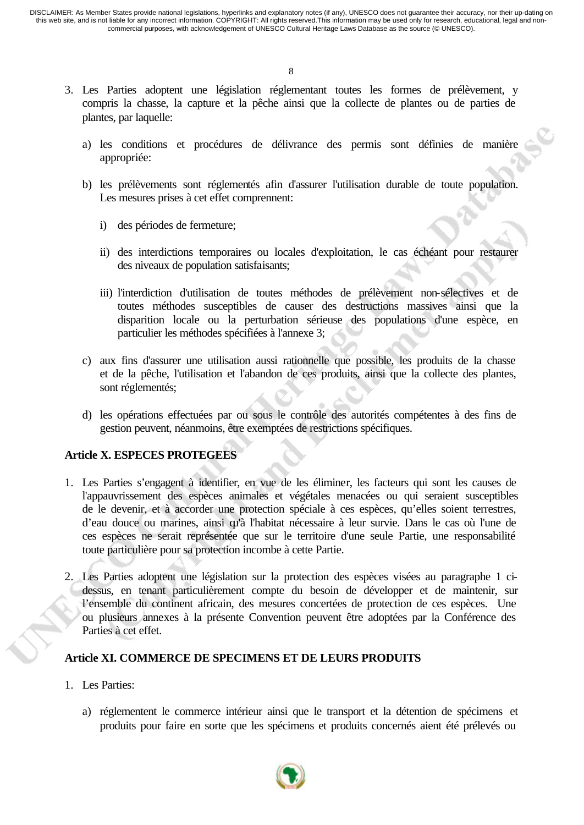8

- 3. Les Parties adoptent une législation réglementant toutes les formes de prélèvement, y compris la chasse, la capture et la pêche ainsi que la collecte de plantes ou de parties de plantes, par laquelle:
	- a) les conditions et procédures de délivrance des permis sont définies de manière appropriée:
	- b) les prélèvements sont réglementés afin d'assurer l'utilisation durable de toute population. Les mesures prises à cet effet comprennent:
		- i) des périodes de fermeture;
		- ii) des interdictions temporaires ou locales d'exploitation, le cas échéant pour restaurer des niveaux de population satisfaisants;
		- iii) l'interdiction d'utilisation de toutes méthodes de prélèvement non-sélectives et de toutes méthodes susceptibles de causer des destructions massives ainsi que la disparition locale ou la perturbation sérieuse des populations d'une espèce, en particulier les méthodes spécifiées à l'annexe 3;
	- c) aux fins d'assurer une utilisation aussi rationnelle que possible, les produits de la chasse et de la pêche, l'utilisation et l'abandon de ces produits, ainsi que la collecte des plantes, sont réglementés;
	- d) les opérations effectuées par ou sous le contrôle des autorités compétentes à des fins de gestion peuvent, néanmoins, être exemptées de restrictions spécifiques.

# **Article X. ESPECES PROTEGEES**

- 1. Les Parties s'engagent à identifier, en vue de les éliminer, les facteurs qui sont les causes de l'appauvrissement des espèces animales et végétales menacées ou qui seraient susceptibles de le devenir, et à accorder une protection spéciale à ces espèces, qu'elles soient terrestres, d'eau douce ou marines, ainsi qu'à l'habitat nécessaire à leur survie. Dans le cas où l'une de ces espèces ne serait représentée que sur le territoire d'une seule Partie, une responsabilité toute particulière pour sa protection incombe à cette Partie.
- 2. Les Parties adoptent une législation sur la protection des espèces visées au paragraphe 1 cidessus, en tenant particulièrement compte du besoin de développer et de maintenir, sur l'ensemble du continent africain, des mesures concertées de protection de ces espèces. Une ou plusieurs annexes à la présente Convention peuvent être adoptées par la Conférence des Parties à cet effet.

#### **Article XI. COMMERCE DE SPECIMENS ET DE LEURS PRODUITS**

- 1. Les Parties:
	- a) réglementent le commerce intérieur ainsi que le transport et la détention de spécimens et produits pour faire en sorte que les spécimens et produits concernés aient été prélevés ou

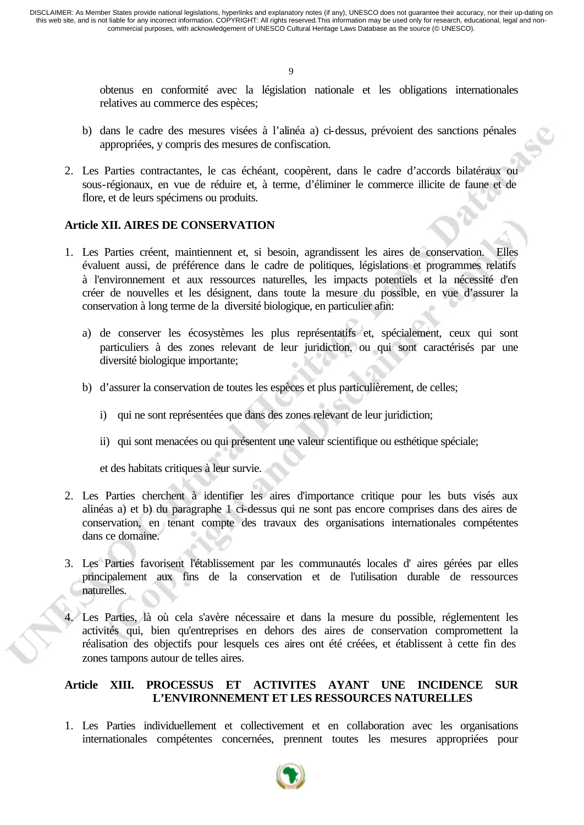9

obtenus en conformité avec la législation nationale et les obligations internationales relatives au commerce des espèces;

- b) dans le cadre des mesures visées à l'alinéa a) ci-dessus, prévoient des sanctions pénales appropriées, y compris des mesures de confiscation.
- 2. Les Parties contractantes, le cas échéant, coopèrent, dans le cadre d'accords bilatéraux ou sous-régionaux, en vue de réduire et, à terme, d'éliminer le commerce illicite de faune et de flore, et de leurs spécimens ou produits.

#### **Article XII. AIRES DE CONSERVATION**

- 1. Les Parties créent, maintiennent et, si besoin, agrandissent les aires de conservation. Elles évaluent aussi, de préférence dans le cadre de politiques, législations et programmes relatifs à l'environnement et aux ressources naturelles, les impacts potentiels et la nécessité d'en créer de nouvelles et les désignent, dans toute la mesure du possible, en vue d'assurer la conservation à long terme de la diversité biologique, en particulier afin:
	- a) de conserver les écosystèmes les plus représentatifs et, spécialement, ceux qui sont particuliers à des zones relevant de leur juridiction, ou qui sont caractérisés par une diversité biologique importante;
	- b) d'assurer la conservation de toutes les espèces et plus particulièrement, de celles;
		- i) qui ne sont représentées que dans des zones relevant de leur juridiction;
		- ii) qui sont menacées ou qui présentent une valeur scientifique ou esthétique spéciale;

et des habitats critiques à leur survie.

- 2. Les Parties cherchent à identifier les aires d'importance critique pour les buts visés aux alinéas a) et b) du paragraphe 1 ci-dessus qui ne sont pas encore comprises dans des aires de conservation, en tenant compte des travaux des organisations internationales compétentes dans ce domaine.
- 3. Les Parties favorisent l'établissement par les communautés locales d' aires gérées par elles principalement aux fins de la conservation et de l'utilisation durable de ressources naturelles.
- 4. Les Parties, là où cela s'avère nécessaire et dans la mesure du possible, réglementent les activités qui, bien qu'entreprises en dehors des aires de conservation compromettent la réalisation des objectifs pour lesquels ces aires ont été créées, et établissent à cette fin des zones tampons autour de telles aires.

#### **Article XIII. PROCESSUS ET ACTIVITES AYANT UNE INCIDENCE SUR L'ENVIRONNEMENT ET LES RESSOURCES NATURELLES**

1. Les Parties individuellement et collectivement et en collaboration avec les organisations internationales compétentes concernées, prennent toutes les mesures appropriées pour

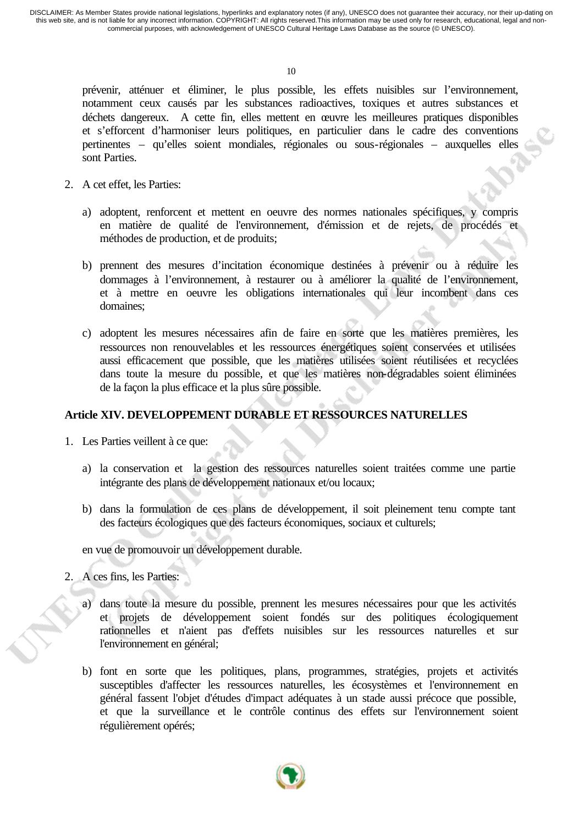prévenir, atténuer et éliminer, le plus possible, les effets nuisibles sur l'environnement, notamment ceux causés par les substances radioactives, toxiques et autres substances et déchets dangereux. A cette fin, elles mettent en œuvre les meilleures pratiques disponibles et s'efforcent d'harmoniser leurs politiques, en particulier dans le cadre des conventions pertinentes – qu'elles soient mondiales, régionales ou sous-régionales – auxquelles elles sont Parties.

- 2. A cet effet, les Parties:
	- a) adoptent, renforcent et mettent en oeuvre des normes nationales spécifiques, y compris en matière de qualité de l'environnement, d'émission et de rejets, de procédés et méthodes de production, et de produits;
	- b) prennent des mesures d'incitation économique destinées à prévenir ou à réduire les dommages à l'environnement, à restaurer ou à améliorer la qualité de l'environnement, et à mettre en oeuvre les obligations internationales qui leur incombent dans ces domaines;
	- c) adoptent les mesures nécessaires afin de faire en sorte que les matières premières, les ressources non renouvelables et les ressources énergétiques soient conservées et utilisées aussi efficacement que possible, que les matières utilisées soient réutilisées et recyclées dans toute la mesure du possible, et que les matières non-dégradables soient éliminées de la façon la plus efficace et la plus sûre possible.

#### **Article XIV. DEVELOPPEMENT DURABLE ET RESSOURCES NATURELLES**

- 1. Les Parties veillent à ce que:
	- a) la conservation et la gestion des ressources naturelles soient traitées comme une partie intégrante des plans de développement nationaux et/ou locaux;
	- b) dans la formulation de ces plans de développement, il soit pleinement tenu compte tant des facteurs écologiques que des facteurs économiques, sociaux et culturels;
	- en vue de promouvoir un développement durable.
- 2. A ces fins, les Parties:
	- a) dans toute la mesure du possible, prennent les mesures nécessaires pour que les activités et projets de développement soient fondés sur des politiques écologiquement rationnelles et n'aient pas d'effets nuisibles sur les ressources naturelles et sur l'environnement en général;
	- b) font en sorte que les politiques, plans, programmes, stratégies, projets et activités susceptibles d'affecter les ressources naturelles, les écosystèmes et l'environnement en général fassent l'objet d'études d'impact adéquates à un stade aussi précoce que possible, et que la surveillance et le contrôle continus des effets sur l'environnement soient régulièrement opérés;

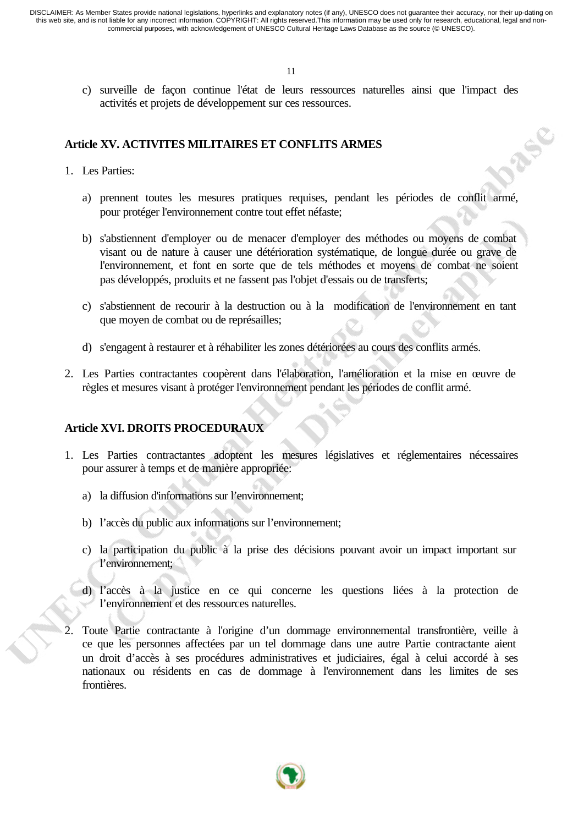c) surveille de façon continue l'état de leurs ressources naturelles ainsi que l'impact des activités et projets de développement sur ces ressources.

296

#### **Article XV. ACTIVITES MILITAIRES ET CONFLITS ARMES**

- 1. Les Parties:
	- a) prennent toutes les mesures pratiques requises, pendant les périodes de conflit armé, pour protéger l'environnement contre tout effet néfaste;
	- b) s'abstiennent d'employer ou de menacer d'employer des méthodes ou moyens de combat visant ou de nature à causer une détérioration systématique, de longue durée ou grave de l'environnement, et font en sorte que de tels méthodes et moyens de combat ne soient pas développés, produits et ne fassent pas l'objet d'essais ou de transferts;
	- c) s'abstiennent de recourir à la destruction ou à la modification de l'environnement en tant que moyen de combat ou de représailles;
	- d) s'engagent à restaurer et à réhabiliter les zones détériorées au cours des conflits armés.
- 2. Les Parties contractantes coopèrent dans l'élaboration, l'amélioration et la mise en œuvre de règles et mesures visant à protéger l'environnement pendant les périodes de conflit armé.

### **Article XVI. DROITS PROCEDURAUX**

- 1. Les Parties contractantes adoptent les mesures législatives et réglementaires nécessaires pour assurer à temps et de manière appropriée:
	- a) la diffusion d'informations sur l'environnement;
	- b) l'accès du public aux informations sur l'environnement;
	- c) la participation du public à la prise des décisions pouvant avoir un impact important sur l'environnement;
	- d) l'accès à la justice en ce qui concerne les questions liées à la protection de l'environnement et des ressources naturelles.
- 2. Toute Partie contractante à l'origine d'un dommage environnemental transfrontière, veille à ce que les personnes affectées par un tel dommage dans une autre Partie contractante aient un droit d'accès à ses procédures administratives et judiciaires, égal à celui accordé à ses nationaux ou résidents en cas de dommage à l'environnement dans les limites de ses frontières.

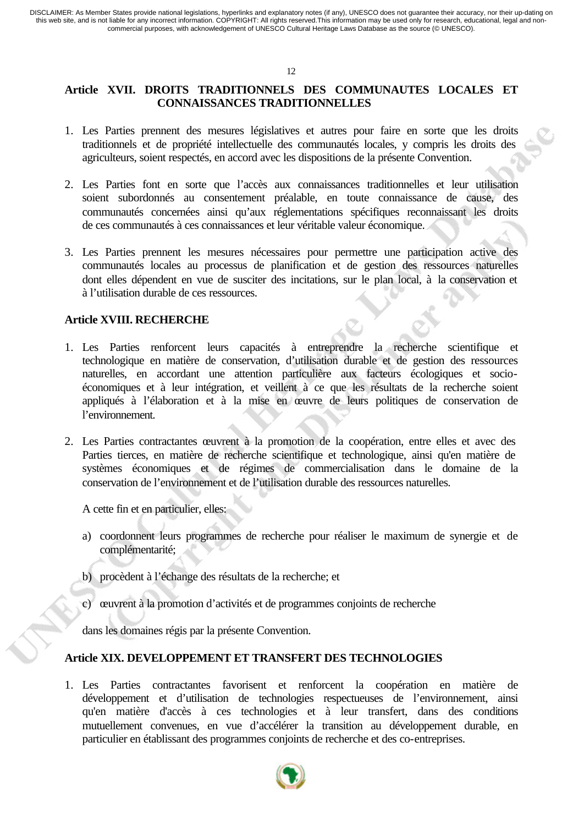#### 12

# **Article XVII. DROITS TRADITIONNELS DES COMMUNAUTES LOCALES ET CONNAISSANCES TRADITIONNELLES**

- 1. Les Parties prennent des mesures législatives et autres pour faire en sorte que les droits traditionnels et de propriété intellectuelle des communautés locales, y compris les droits des agriculteurs, soient respectés, en accord avec les dispositions de la présente Convention.
- 2. Les Parties font en sorte que l'accès aux connaissances traditionnelles et leur utilisation soient subordonnés au consentement préalable, en toute connaissance de cause, des communautés concernées ainsi qu'aux réglementations spécifiques reconnaissant les droits de ces communautés à ces connaissances et leur véritable valeur économique.
- 3. Les Parties prennent les mesures nécessaires pour permettre une participation active des communautés locales au processus de planification et de gestion des ressources naturelles dont elles dépendent en vue de susciter des incitations, sur le plan local, à la conservation et à l'utilisation durable de ces ressources.

#### **Article XVIII. RECHERCHE**

- 1. Les Parties renforcent leurs capacités à entreprendre la recherche scientifique et technologique en matière de conservation, d'utilisation durable et de gestion des ressources naturelles, en accordant une attention particulière aux facteurs écologiques et socioéconomiques et à leur intégration, et veillent à ce que les résultats de la recherche soient appliqués à l'élaboration et à la mise en œuvre de leurs politiques de conservation de l'environnement.
- 2. Les Parties contractantes œuvrent à la promotion de la coopération, entre elles et avec des Parties tierces, en matière de recherche scientifique et technologique, ainsi qu'en matière de systèmes économiques et de régimes de commercialisation dans le domaine de la conservation de l'environnement et de l'utilisation durable des ressources naturelles.

A cette fin et en particulier, elles:

- a) coordonnent leurs programmes de recherche pour réaliser le maximum de synergie et de complémentarité;
- b) procèdent à l'échange des résultats de la recherche; et
- c) œuvrent à la promotion d'activités et de programmes conjoints de recherche

dans les domaines régis par la présente Convention.

#### **Article XIX. DEVELOPPEMENT ET TRANSFERT DES TECHNOLOGIES**

1. Les Parties contractantes favorisent et renforcent la coopération en matière de développement et d'utilisation de technologies respectueuses de l'environnement, ainsi qu'en matière d'accès à ces technologies et à leur transfert, dans des conditions mutuellement convenues, en vue d'accélérer la transition au développement durable, en particulier en établissant des programmes conjoints de recherche et des co-entreprises.

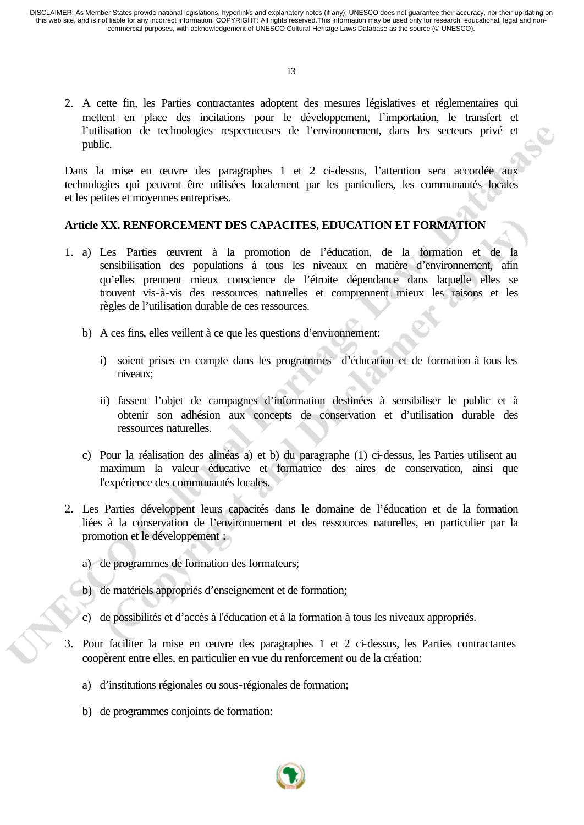2. A cette fin, les Parties contractantes adoptent des mesures législatives et réglementaires qui mettent en place des incitations pour le développement, l'importation, le transfert et l'utilisation de technologies respectueuses de l'environnement, dans les secteurs privé et public.

Dans la mise en œuvre des paragraphes 1 et 2 ci-dessus, l'attention sera accordée aux technologies qui peuvent être utilisées localement par les particuliers, les communautés locales et les petites et moyennes entreprises.

#### **Article XX. RENFORCEMENT DES CAPACITES, EDUCATION ET FORMATION**

- 1. a) Les Parties œuvrent à la promotion de l'éducation, de la formation et de la sensibilisation des populations à tous les niveaux en matière d'environnement, afin qu'elles prennent mieux conscience de l'étroite dépendance dans laquelle elles se trouvent vis-à-vis des ressources naturelles et comprennent mieux les raisons et les règles de l'utilisation durable de ces ressources.
	- b) A ces fins, elles veillent à ce que les questions d'environnement:
		- i) soient prises en compte dans les programmes d'éducation et de formation à tous les niveaux;
		- ii) fassent l'objet de campagnes d'information destinées à sensibiliser le public et à obtenir son adhésion aux concepts de conservation et d'utilisation durable des ressources naturelles.
	- c) Pour la réalisation des alinéas a) et b) du paragraphe (1) ci-dessus, les Parties utilisent au maximum la valeur éducative et formatrice des aires de conservation, ainsi que l'expérience des communautés locales.
- 2. Les Parties développent leurs capacités dans le domaine de l'éducation et de la formation liées à la conservation de l'environnement et des ressources naturelles, en particulier par la promotion et le développement :
	- a) de programmes de formation des formateurs;
	- b) de matériels appropriés d'enseignement et de formation;
	- c) de possibilités et d'accès à l'éducation et à la formation à tous les niveaux appropriés.
- 3. Pour faciliter la mise en œuvre des paragraphes 1 et 2 ci-dessus, les Parties contractantes coopèrent entre elles, en particulier en vue du renforcement ou de la création:
	- a) d'institutions régionales ou sous-régionales de formation;
	- b) de programmes conjoints de formation:

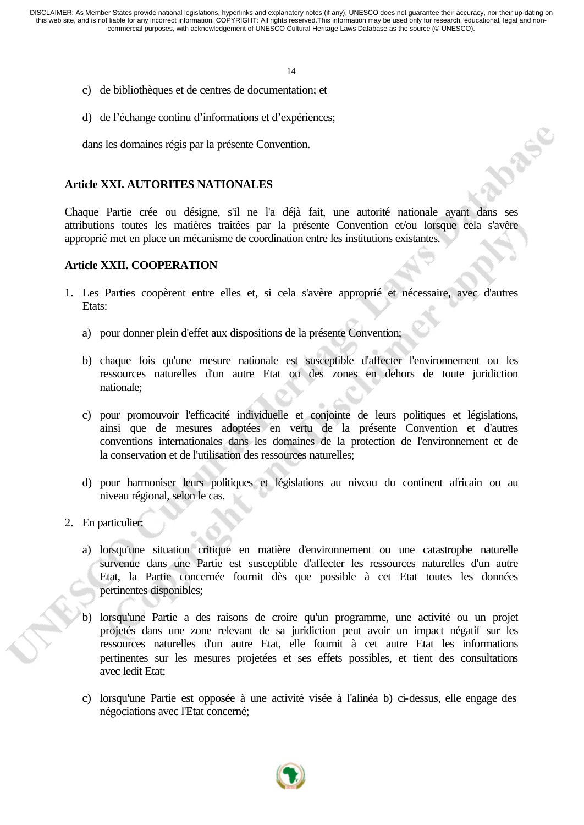14

- c) de bibliothèques et de centres de documentation; et
- d) de l'échange continu d'informations et d'expériences;

dans les domaines régis par la présente Convention.

# **Article XXI. AUTORITES NATIONALES**

Chaque Partie crée ou désigne, s'il ne l'a déjà fait, une autorité nationale ayant dans ses attributions toutes les matières traitées par la présente Convention et/ou lorsque cela s'avère approprié met en place un mécanisme de coordination entre les institutions existantes.

**IDASE** 

# **Article XXII. COOPERATION**

- 1. Les Parties coopèrent entre elles et, si cela s'avère approprié et nécessaire, avec d'autres Etats:
	- a) pour donner plein d'effet aux dispositions de la présente Convention;
	- b) chaque fois qu'une mesure nationale est susceptible d'affecter l'environnement ou les ressources naturelles d'un autre Etat ou des zones en dehors de toute juridiction nationale;
	- c) pour promouvoir l'efficacité individuelle et conjointe de leurs politiques et législations, ainsi que de mesures adoptées en vertu de la présente Convention et d'autres conventions internationales dans les domaines de la protection de l'environnement et de la conservation et de l'utilisation des ressources naturelles;
	- d) pour harmoniser leurs politiques et législations au niveau du continent africain ou au niveau régional, selon le cas.
- 2. En particulier:
	- a) lorsqu'une situation critique en matière d'environnement ou une catastrophe naturelle survenue dans une Partie est susceptible d'affecter les ressources naturelles d'un autre Etat, la Partie concernée fournit dès que possible à cet Etat toutes les données pertinentes disponibles;
	- b) lorsqu'une Partie a des raisons de croire qu'un programme, une activité ou un projet projetés dans une zone relevant de sa juridiction peut avoir un impact négatif sur les ressources naturelles d'un autre Etat, elle fournit à cet autre Etat les informations pertinentes sur les mesures projetées et ses effets possibles, et tient des consultations avec ledit Etat;
	- c) lorsqu'une Partie est opposée à une activité visée à l'alinéa b) ci-dessus, elle engage des négociations avec l'Etat concerné;

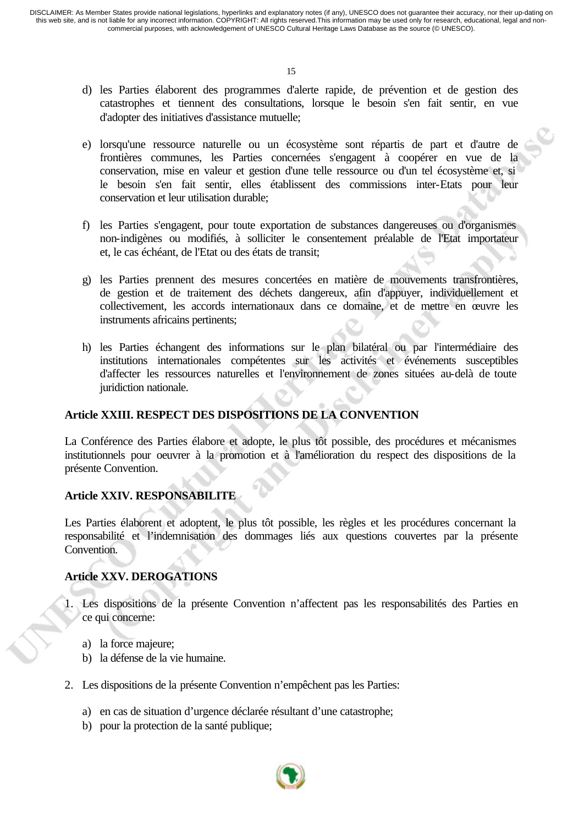- d) les Parties élaborent des programmes d'alerte rapide, de prévention et de gestion des catastrophes et tiennent des consultations, lorsque le besoin s'en fait sentir, en vue d'adopter des initiatives d'assistance mutuelle;
- e) lorsqu'une ressource naturelle ou un écosystème sont répartis de part et d'autre de frontières communes, les Parties concernées s'engagent à coopérer en vue de la conservation, mise en valeur et gestion d'une telle ressource ou d'un tel écosystème et, si le besoin s'en fait sentir, elles établissent des commissions inter-Etats pour leur conservation et leur utilisation durable;
- f) les Parties s'engagent, pour toute exportation de substances dangereuses ou d'organismes non-indigènes ou modifiés, à solliciter le consentement préalable de l'Etat importateur et, le cas échéant, de l'Etat ou des états de transit;
- g) les Parties prennent des mesures concertées en matière de mouvements transfrontières, de gestion et de traitement des déchets dangereux, afin d'appuyer, individuellement et collectivement, les accords internationaux dans ce domaine, et de mettre en œuvre les instruments africains pertinents;
- h) les Parties échangent des informations sur le plan bilatéral ou par l'intermédiaire des institutions internationales compétentes sur les activités et événements susceptibles d'affecter les ressources naturelles et l'environnement de zones situées au-delà de toute juridiction nationale.

# **Article XXIII. RESPECT DES DISPOSITIONS DE LA CONVENTION**

La Conférence des Parties élabore et adopte, le plus tôt possible, des procédures et mécanismes institutionnels pour oeuvrer à la promotion et à l'amélioration du respect des dispositions de la présente Convention.

#### **Article XXIV. RESPONSABILITE**

Les Parties élaborent et adoptent, le plus tôt possible, les règles et les procédures concernant la responsabilité et l'indemnisation des dommages liés aux questions couvertes par la présente Convention.

#### **Article XXV. DEROGATIONS**

- 1. Les dispositions de la présente Convention n'affectent pas les responsabilités des Parties en ce qui concerne:
	- a) la force majeure;
	- b) la défense de la vie humaine.
- 2. Les dispositions de la présente Convention n'empêchent pas les Parties:
	- a) en cas de situation d'urgence déclarée résultant d'une catastrophe;
	- b) pour la protection de la santé publique;

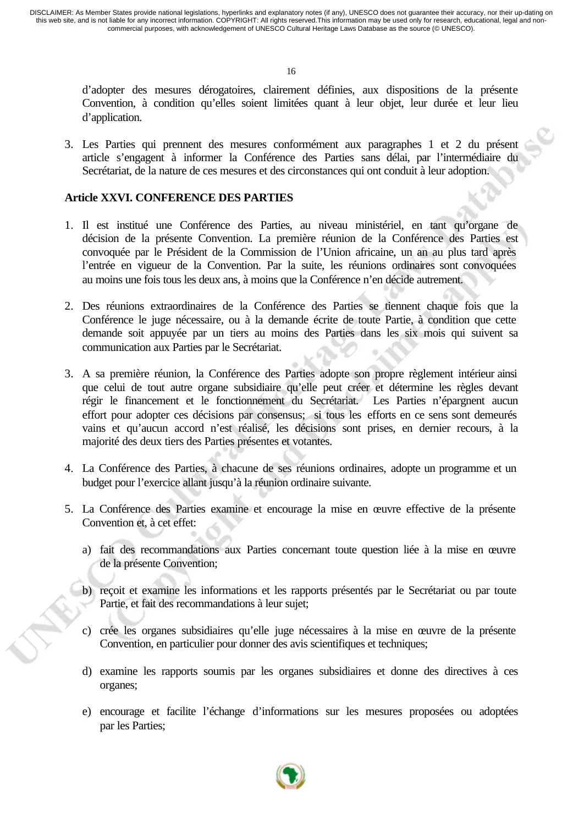16

d'adopter des mesures dérogatoires, clairement définies, aux dispositions de la présente Convention, à condition qu'elles soient limitées quant à leur objet, leur durée et leur lieu d'application.

3. Les Parties qui prennent des mesures conformément aux paragraphes 1 et 2 du présent article s'engagent à informer la Conférence des Parties sans délai, par l'intermédiaire du Secrétariat, de la nature de ces mesures et des circonstances qui ont conduit à leur adoption.

## **Article XXVI. CONFERENCE DES PARTIES**

- 1. Il est institué une Conférence des Parties, au niveau ministériel, en tant qu'organe de décision de la présente Convention. La première réunion de la Conférence des Parties est convoquée par le Président de la Commission de l'Union africaine, un an au plus tard après l'entrée en vigueur de la Convention. Par la suite, les réunions ordinaires sont convoquées au moins une fois tous les deux ans, à moins que la Conférence n'en décide autrement.
- 2. Des réunions extraordinaires de la Conférence des Parties se tiennent chaque fois que la Conférence le juge nécessaire, ou à la demande écrite de toute Partie, à condition que cette demande soit appuyée par un tiers au moins des Parties dans les six mois qui suivent sa communication aux Parties par le Secrétariat.
- 3. A sa première réunion, la Conférence des Parties adopte son propre règlement intérieur ainsi que celui de tout autre organe subsidiaire qu'elle peut créer et détermine les règles devant régir le financement et le fonctionnement du Secrétariat. Les Parties n'épargnent aucun effort pour adopter ces décisions par consensus; si tous les efforts en ce sens sont demeurés vains et qu'aucun accord n'est réalisé, les décisions sont prises, en dernier recours, à la majorité des deux tiers des Parties présentes et votantes.
- 4. La Conférence des Parties, à chacune de ses réunions ordinaires, adopte un programme et un budget pour l'exercice allant jusqu'à la réunion ordinaire suivante.
- 5. La Conférence des Parties examine et encourage la mise en œuvre effective de la présente Convention et, à cet effet:
	- a) fait des recommandations aux Parties concernant toute question liée à la mise en œuvre de la présente Convention;
	- b) reçoit et examine les informations et les rapports présentés par le Secrétariat ou par toute Partie, et fait des recommandations à leur sujet;
	- c) crée les organes subsidiaires qu'elle juge nécessaires à la mise en œuvre de la présente Convention, en particulier pour donner des avis scientifiques et techniques;
	- d) examine les rapports soumis par les organes subsidiaires et donne des directives à ces organes;
	- e) encourage et facilite l'échange d'informations sur les mesures proposées ou adoptées par les Parties;

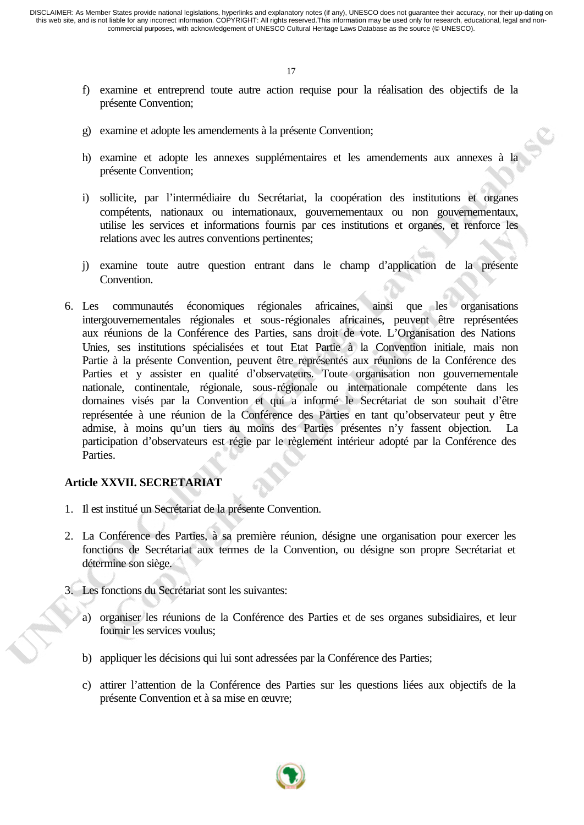- f) examine et entreprend toute autre action requise pour la réalisation des objectifs de la présente Convention;
- g) examine et adopte les amendements à la présente Convention;
- h) examine et adopte les annexes supplémentaires et les amendements aux annexes à la présente Convention;
- i) sollicite, par l'intermédiaire du Secrétariat, la coopération des institutions et organes compétents, nationaux ou internationaux, gouvernementaux ou non gouvernementaux, utilise les services et informations fournis par ces institutions et organes, et renforce les relations avec les autres conventions pertinentes;
- j) examine toute autre question entrant dans le champ d'application de la présente Convention.
- 6. Les communautés économiques régionales africaines, ainsi que les organisations intergouvernementales régionales et sous-régionales africaines, peuvent être représentées aux réunions de la Conférence des Parties, sans droit de vote. L'Organisation des Nations Unies, ses institutions spécialisées et tout Etat Partie à la Convention initiale, mais non Partie à la présente Convention, peuvent être représentés aux réunions de la Conférence des Parties et y assister en qualité d'observateurs. Toute organisation non gouvernementale nationale, continentale, régionale, sous-régionale ou internationale compétente dans les domaines visés par la Convention et qui a informé le Secrétariat de son souhait d'être représentée à une réunion de la Conférence des Parties en tant qu'observateur peut y être admise, à moins qu'un tiers au moins des Parties présentes n'y fassent objection. La participation d'observateurs est régie par le règlement intérieur adopté par la Conférence des Parties.

#### **Article XXVII. SECRETARIAT**

- 1. Il est institué un Secrétariat de la présente Convention.
- 2. La Conférence des Parties, à sa première réunion, désigne une organisation pour exercer les fonctions de Secrétariat aux termes de la Convention, ou désigne son propre Secrétariat et détermine son siège.
- 3. Les fonctions du Secrétariat sont les suivantes:
	- a) organiser les réunions de la Conférence des Parties et de ses organes subsidiaires, et leur fournir les services voulus;
	- b) appliquer les décisions qui lui sont adressées par la Conférence des Parties;
	- c) attirer l'attention de la Conférence des Parties sur les questions liées aux objectifs de la présente Convention et à sa mise en œuvre;

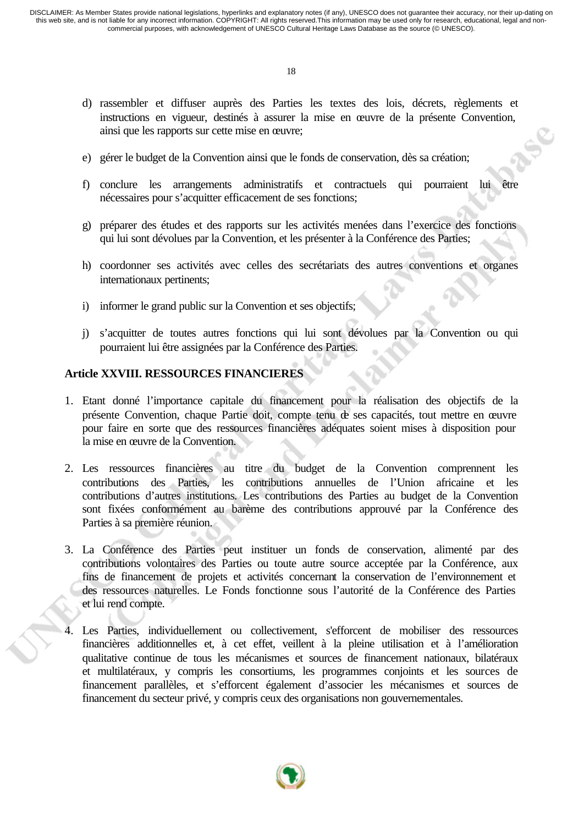- d) rassembler et diffuser auprès des Parties les textes des lois, décrets, règlements et instructions en vigueur, destinés à assurer la mise en œuvre de la présente Convention, ainsi que les rapports sur cette mise en œuvre;
- e) gérer le budget de la Convention ainsi que le fonds de conservation, dès sa création;
- f) conclure les arrangements administratifs et contractuels qui pourraient lui être nécessaires pour s'acquitter efficacement de ses fonctions;
- g) préparer des études et des rapports sur les activités menées dans l'exercice des fonctions qui lui sont dévolues par la Convention, et les présenter à la Conférence des Parties;
- h) coordonner ses activités avec celles des secrétariats des autres conventions et organes internationaux pertinents;
- i) informer le grand public sur la Convention et ses objectifs;
- j) s'acquitter de toutes autres fonctions qui lui sont dévolues par la Convention ou qui pourraient lui être assignées par la Conférence des Parties.

#### **Article XXVIII. RESSOURCES FINANCIERES**

- 1. Etant donné l'importance capitale du financement pour la réalisation des objectifs de la présente Convention, chaque Partie doit, compte tenu de ses capacités, tout mettre en œuvre pour faire en sorte que des ressources financières adéquates soient mises à disposition pour la mise en œuvre de la Convention.
- 2. Les ressources financières au titre du budget de la Convention comprennent les contributions des Parties, les contributions annuelles de l'Union africaine et les contributions d'autres institutions. Les contributions des Parties au budget de la Convention sont fixées conformément au barème des contributions approuvé par la Conférence des Parties à sa première réunion.
- 3. La Conférence des Parties peut instituer un fonds de conservation, alimenté par des contributions volontaires des Parties ou toute autre source acceptée par la Conférence, aux fins de financement de projets et activités concernant la conservation de l'environnement et des ressources naturelles. Le Fonds fonctionne sous l'autorité de la Conférence des Parties et lui rend compte.
- 4. Les Parties, individuellement ou collectivement, s'efforcent de mobiliser des ressources financières additionnelles et, à cet effet, veillent à la pleine utilisation et à l'amélioration qualitative continue de tous les mécanismes et sources de financement nationaux, bilatéraux et multilatéraux, y compris les consortiums, les programmes conjoints et les sources de financement parallèles, et s'efforcent également d'associer les mécanismes et sources de financement du secteur privé, y compris ceux des organisations non gouvernementales.

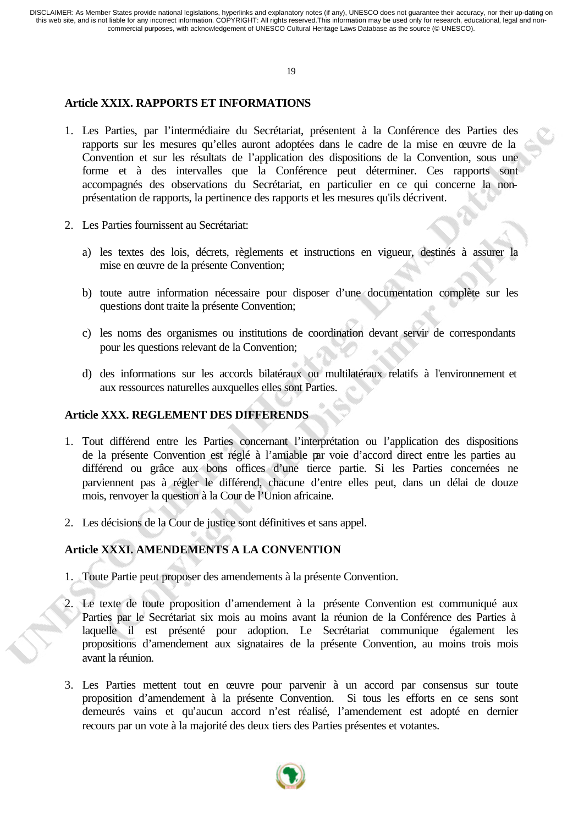#### 19

## **Article XXIX. RAPPORTS ET INFORMATIONS**

- 1. Les Parties, par l'intermédiaire du Secrétariat, présentent à la Conférence des Parties des rapports sur les mesures qu'elles auront adoptées dans le cadre de la mise en œuvre de la Convention et sur les résultats de l'application des dispositions de la Convention, sous une forme et à des intervalles que la Conférence peut déterminer. Ces rapports sont accompagnés des observations du Secrétariat, en particulier en ce qui concerne la nonprésentation de rapports, la pertinence des rapports et les mesures qu'ils décrivent.
- 2. Les Parties fournissent au Secrétariat:
	- a) les textes des lois, décrets, règlements et instructions en vigueur, destinés à assurer la mise en œuvre de la présente Convention;
	- b) toute autre information nécessaire pour disposer d'une documentation complète sur les questions dont traite la présente Convention;
	- c) les noms des organismes ou institutions de coordination devant servir de correspondants pour les questions relevant de la Convention;
	- d) des informations sur les accords bilatéraux ou multilatéraux relatifs à l'environnement et aux ressources naturelles auxquelles elles sont Parties.

## **Article XXX. REGLEMENT DES DIFFERENDS**

- 1. Tout différend entre les Parties concernant l'interprétation ou l'application des dispositions de la présente Convention est réglé à l'amiable par voie d'accord direct entre les parties au différend ou grâce aux bons offices d'une tierce partie. Si les Parties concernées ne parviennent pas à régler le différend, chacune d'entre elles peut, dans un délai de douze mois, renvoyer la question à la Cour de l'Union africaine.
- 2. Les décisions de la Cour de justice sont définitives et sans appel.

# **Article XXXI. AMENDEMENTS A LA CONVENTION**

- 1. Toute Partie peut proposer des amendements à la présente Convention.
- 2. Le texte de toute proposition d'amendement à la présente Convention est communiqué aux Parties par le Secrétariat six mois au moins avant la réunion de la Conférence des Parties à laquelle il est présenté pour adoption. Le Secrétariat communique également les propositions d'amendement aux signataires de la présente Convention, au moins trois mois avant la réunion.
- 3. Les Parties mettent tout en œuvre pour parvenir à un accord par consensus sur toute proposition d'amendement à la présente Convention. Si tous les efforts en ce sens sont demeurés vains et qu'aucun accord n'est réalisé, l'amendement est adopté en dernier recours par un vote à la majorité des deux tiers des Parties présentes et votantes.

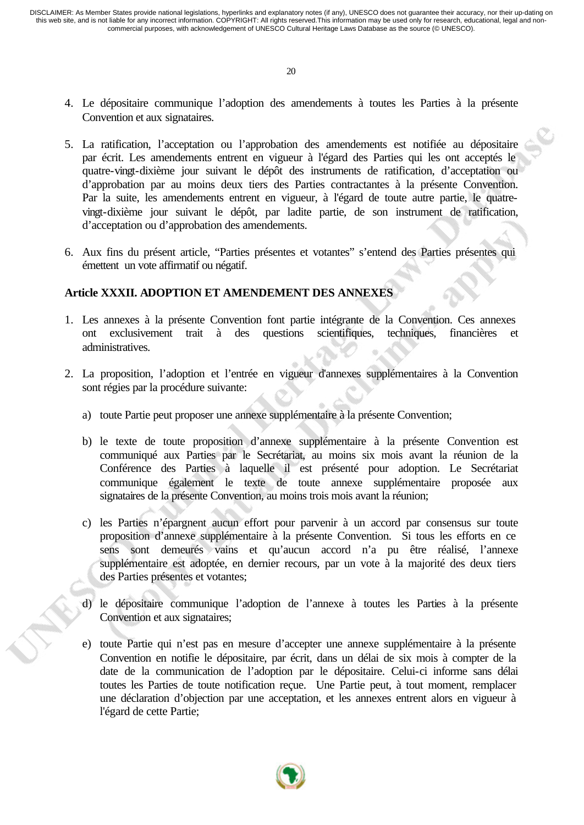- 4. Le dépositaire communique l'adoption des amendements à toutes les Parties à la présente Convention et aux signataires.
- 5. La ratification, l'acceptation ou l'approbation des amendements est notifiée au dépositaire par écrit. Les amendements entrent en vigueur à l'égard des Parties qui les ont acceptés le quatre-vingt-dixième jour suivant le dépôt des instruments de ratification, d'acceptation ou d'approbation par au moins deux tiers des Parties contractantes à la présente Convention. Par la suite, les amendements entrent en vigueur, à l'égard de toute autre partie, le quatrevingt-dixième jour suivant le dépôt, par ladite partie, de son instrument de ratification, d'acceptation ou d'approbation des amendements.
- 6. Aux fins du présent article, "Parties présentes et votantes" s'entend des Parties présentes qui émettent un vote affirmatif ou négatif.

#### **Article XXXII. ADOPTION ET AMENDEMENT DES ANNEXES**

- 1. Les annexes à la présente Convention font partie intégrante de la Convention. Ces annexes ont exclusivement trait à des questions scientifiques, techniques, financières et administratives.
- 2. La proposition, l'adoption et l'entrée en vigueur d'annexes supplémentaires à la Convention sont régies par la procédure suivante:
	- a) toute Partie peut proposer une annexe supplémentaire à la présente Convention;
	- b) le texte de toute proposition d'annexe supplémentaire à la présente Convention est communiqué aux Parties par le Secrétariat, au moins six mois avant la réunion de la Conférence des Parties à laquelle il est présenté pour adoption. Le Secrétariat communique également le texte de toute annexe supplémentaire proposée aux signataires de la présente Convention, au moins trois mois avant la réunion;
	- c) les Parties n'épargnent aucun effort pour parvenir à un accord par consensus sur toute proposition d'annexe supplémentaire à la présente Convention. Si tous les efforts en ce sens sont demeurés vains et qu'aucun accord n'a pu être réalisé, l'annexe supplémentaire est adoptée, en dernier recours, par un vote à la majorité des deux tiers des Parties présentes et votantes;
	- d) le dépositaire communique l'adoption de l'annexe à toutes les Parties à la présente Convention et aux signataires;
	- e) toute Partie qui n'est pas en mesure d'accepter une annexe supplémentaire à la présente Convention en notifie le dépositaire, par écrit, dans un délai de six mois à compter de la date de la communication de l'adoption par le dépositaire. Celui-ci informe sans délai toutes les Parties de toute notification reçue. Une Partie peut, à tout moment, remplacer une déclaration d'objection par une acceptation, et les annexes entrent alors en vigueur à l'égard de cette Partie;

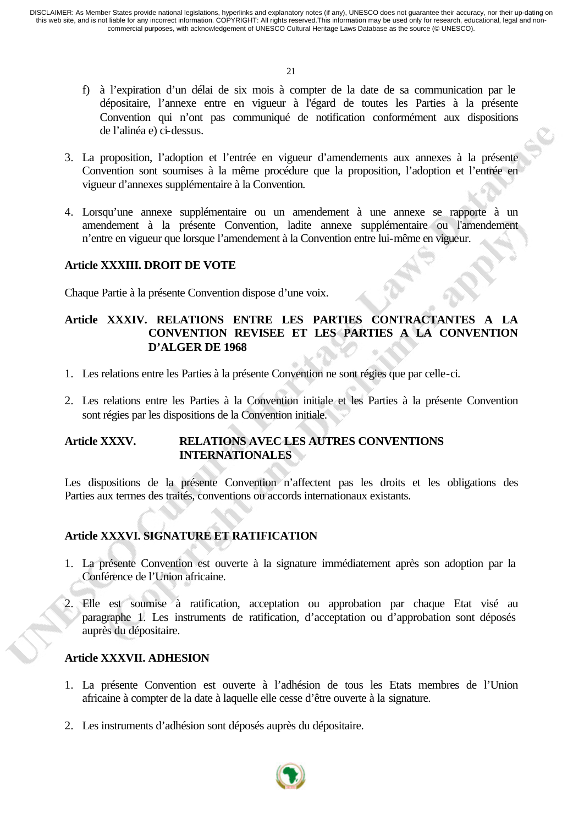- f) à l'expiration d'un délai de six mois à compter de la date de sa communication par le dépositaire, l'annexe entre en vigueur à l'égard de toutes les Parties à la présente Convention qui n'ont pas communiqué de notification conformément aux dispositions de l'alinéa e) ci-dessus.
- 3. La proposition, l'adoption et l'entrée en vigueur d'amendements aux annexes à la présente Convention sont soumises à la même procédure que la proposition, l'adoption et l'entrée en vigueur d'annexes supplémentaire à la Convention.
- 4. Lorsqu'une annexe supplémentaire ou un amendement à une annexe se rapporte à un amendement à la présente Convention, ladite annexe supplémentaire ou l'amendement n'entre en vigueur que lorsque l'amendement à la Convention entre lui-même en vigueur.

#### **Article XXXIII. DROIT DE VOTE**

Chaque Partie à la présente Convention dispose d'une voix.

# **Article XXXIV. RELATIONS ENTRE LES PARTIES CONTRACTANTES A LA CONVENTION REVISEE ET LES PARTIES A LA CONVENTION D'ALGER DE 1968**

- 1. Les relations entre les Parties à la présente Convention ne sont régies que par celle-ci.
- 2. Les relations entre les Parties à la Convention initiale et les Parties à la présente Convention sont régies par les dispositions de la Convention initiale.

#### **Article XXXV. RELATIONS AVEC LES AUTRES CONVENTIONS INTERNATIONALES**

Les dispositions de la présente Convention n'affectent pas les droits et les obligations des Parties aux termes des traités, conventions ou accords internationaux existants.

# **Article XXXVI. SIGNATURE ET RATIFICATION**

- 1. La présente Convention est ouverte à la signature immédiatement après son adoption par la Conférence de l'Union africaine.
- 2. Elle est soumise à ratification, acceptation ou approbation par chaque Etat visé au paragraphe 1. Les instruments de ratification, d'acceptation ou d'approbation sont déposés auprès du dépositaire.

#### **Article XXXVII. ADHESION**

- 1. La présente Convention est ouverte à l'adhésion de tous les Etats membres de l'Union africaine à compter de la date à laquelle elle cesse d'être ouverte à la signature.
- 2. Les instruments d'adhésion sont déposés auprès du dépositaire.

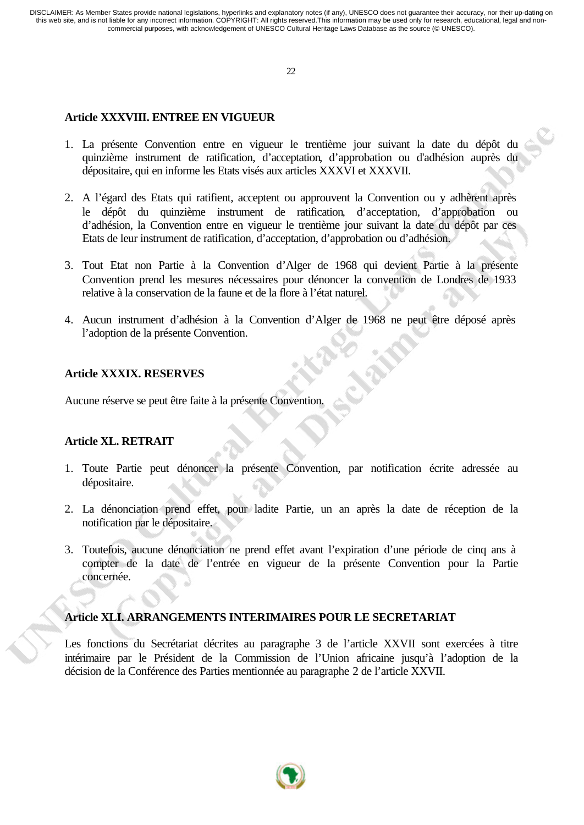22

# **Article XXXVIII. ENTREE EN VIGUEUR**

- 1. La présente Convention entre en vigueur le trentième jour suivant la date du dépôt du quinzième instrument de ratification, d'acceptation, d'approbation ou d'adhésion auprès du dépositaire, qui en informe les Etats visés aux articles XXXVI et XXXVII.
- 2. A l'égard des Etats qui ratifient, acceptent ou approuvent la Convention ou y adhèrent après le dépôt du quinzième instrument de ratification, d'acceptation, d'approbation ou d'adhésion, la Convention entre en vigueur le trentième jour suivant la date du dépôt par ces Etats de leur instrument de ratification, d'acceptation, d'approbation ou d'adhésion.
- 3. Tout Etat non Partie à la Convention d'Alger de 1968 qui devient Partie à la présente Convention prend les mesures nécessaires pour dénoncer la convention de Londres de 1933 relative à la conservation de la faune et de la flore à l'état naturel.
- 4. Aucun instrument d'adhésion à la Convention d'Alger de 1968 ne peut être déposé après l'adoption de la présente Convention.

# **Article XXXIX. RESERVES**

Aucune réserve se peut être faite à la présente Convention.

# **Article XL. RETRAIT**

- 1. Toute Partie peut dénoncer la présente Convention, par notification écrite adressée au dépositaire.
- 2. La dénonciation prend effet, pour ladite Partie, un an après la date de réception de la notification par le dépositaire.
- 3. Toutefois, aucune dénonciation ne prend effet avant l'expiration d'une période de cinq ans à compter de la date de l'entrée en vigueur de la présente Convention pour la Partie concernée.

# **Article XLI. ARRANGEMENTS INTERIMAIRES POUR LE SECRETARIAT**

Les fonctions du Secrétariat décrites au paragraphe 3 de l'article XXVII sont exercées à titre intérimaire par le Président de la Commission de l'Union africaine jusqu'à l'adoption de la décision de la Conférence des Parties mentionnée au paragraphe 2 de l'article XXVII.

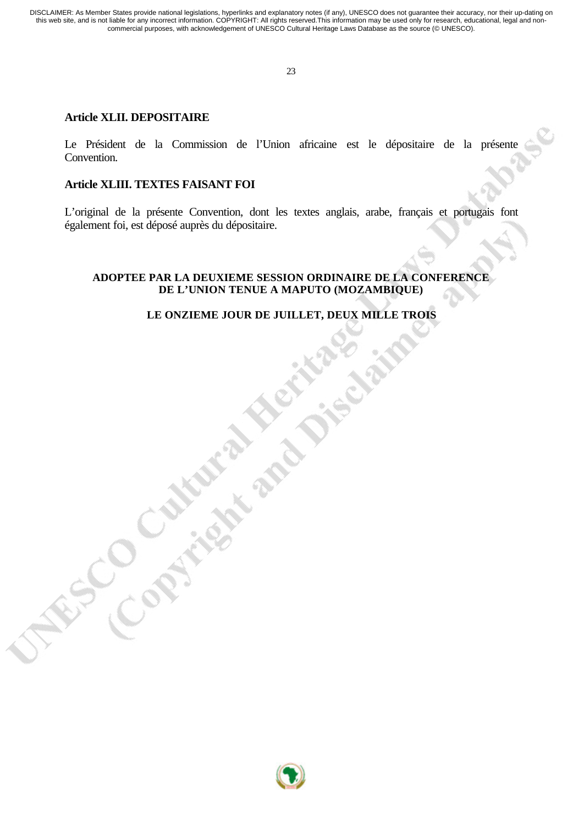23

#### **Article XLII. DEPOSITAIRE**

Le Président de la Commission de l'Union africaine est le dépositaire de la présente Convention.

## **Article XLIII. TEXTES FAISANT FOI**

W.S.Contrightend Die

L'original de la présente Convention, dont les textes anglais, arabe, français et portugais font également foi, est déposé auprès du dépositaire.

#### **ADOPTEE PAR LA DEUXIEME SESSION ORDINAIRE DE LA CONFERENCE DE L'UNION TENUE A MAPUTO (MOZAMBIQUE)**

## **LE ONZIEME JOUR DE JUILLET, DEUX MILLE TROIS**

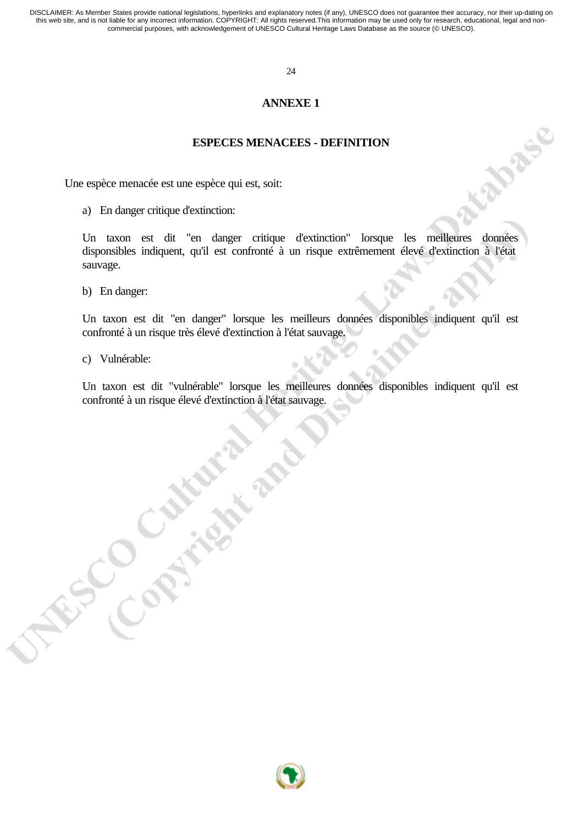#### 24

#### **ANNEXE 1**

#### **ESPECES MENACEES - DEFINITION**

Une espèce menacée est une espèce qui est, soit:

a) En danger critique d'extinction:

Un taxon est dit "en danger critique d'extinction" lorsque les meilleures données disponsibles indiquent, qu'il est confronté à un risque extrêmement élevé d'extinction à l'état sauvage.

b) En danger:

Un taxon est dit "en danger" lorsque les meilleurs données disponibles indiquent qu'il est confronté à un risque très élevé d'extinction à l'état sauvage.

c) Vulnérable:

Un taxon est dit "vulnérable" lorsque les meilleures données disponibles indiquent qu'il est confronté à un risque élevé d'extinction à l'état sauvage.

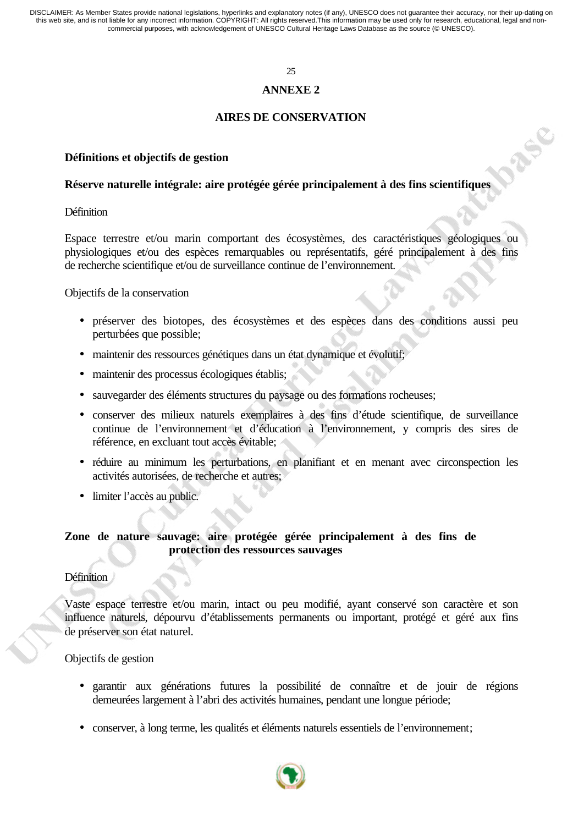#### 25

#### **ANNEXE 2**

#### **AIRES DE CONSERVATION**

REC

#### **Définitions et objectifs de gestion**

#### **Réserve naturelle intégrale: aire protégée gérée principalement à des fins scientifiques**

**Définition** 

Espace terrestre et/ou marin comportant des écosystèmes, des caractéristiques géologiques ou physiologiques et/ou des espèces remarquables ou représentatifs, géré principalement à des fins de recherche scientifique et/ou de surveillance continue de l'environnement.

Objectifs de la conservation

- préserver des biotopes, des écosystèmes et des espèces dans des conditions aussi peu perturbées que possible;
- maintenir des ressources génétiques dans un état dynamique et évolutif;
- maintenir des processus écologiques établis;
- sauvegarder des éléments structures du paysage ou des formations rocheuses;
- conserver des milieux naturels exemplaires à des fins d'étude scientifique, de surveillance continue de l'environnement et d'éducation à l'environnement, y compris des sires de référence, en excluant tout accès évitable;
- réduire au minimum les perturbations, en planifiant et en menant avec circonspection les activités autorisées, de recherche et autres;
- limiter l'accès au public.

### **Zone de nature sauvage: aire protégée gérée principalement à des fins de protection des ressources sauvages**

#### **Définition**

Vaste espace terrestre et/ou marin, intact ou peu modifié, ayant conservé son caractère et son influence naturels, dépourvu d'établissements permanents ou important, protégé et géré aux fins de préserver son état naturel.

Objectifs de gestion

- garantir aux générations futures la possibilité de connaître et de jouir de régions demeurées largement à l'abri des activités humaines, pendant une longue période;
- conserver, à long terme, les qualités et éléments naturels essentiels de l'environnement;

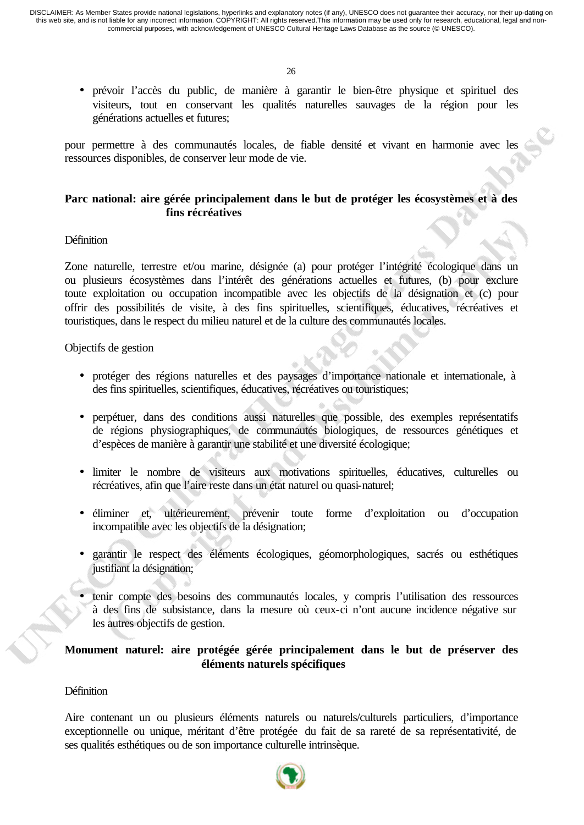• prévoir l'accès du public, de manière à garantir le bien-être physique et spirituel des visiteurs, tout en conservant les qualités naturelles sauvages de la région pour les générations actuelles et futures;

pour permettre à des communautés locales, de fiable densité et vivant en harmonie avec les ressources disponibles, de conserver leur mode de vie.

## **Parc national: aire gérée principalement dans le but de protéger les écosystèmes et à des fins récréatives**

#### Définition

Zone naturelle, terrestre et/ou marine, désignée (a) pour protéger l'intégrité écologique dans un ou plusieurs écosystèmes dans l'intérêt des générations actuelles et futures, (b) pour exclure toute exploitation ou occupation incompatible avec les objectifs de la désignation et (c) pour offrir des possibilités de visite, à des fins spirituelles, scientifiques, éducatives, récréatives et touristiques, dans le respect du milieu naturel et de la culture des communautés locales.

Objectifs de gestion

- protéger des régions naturelles et des paysages d'importance nationale et internationale, à des fins spirituelles, scientifiques, éducatives, récréatives ou touristiques;
- perpétuer, dans des conditions aussi naturelles que possible, des exemples représentatifs de régions physiographiques, de communautés biologiques, de ressources génétiques et d'espèces de manière à garantir une stabilité et une diversité écologique;
- limiter le nombre de visiteurs aux motivations spirituelles, éducatives, culturelles ou récréatives, afin que l'aire reste dans un état naturel ou quasi-naturel;
- éliminer et, ultérieurement, prévenir toute forme d'exploitation ou d'occupation incompatible avec les objectifs de la désignation;
- garantir le respect des éléments écologiques, géomorphologiques, sacrés ou esthétiques justifiant la désignation;
- tenir compte des besoins des communautés locales, y compris l'utilisation des ressources à des fins de subsistance, dans la mesure où ceux-ci n'ont aucune incidence négative sur les autres objectifs de gestion.

## **Monument naturel: aire protégée gérée principalement dans le but de préserver des éléments naturels spécifiques**

## Définition

Aire contenant un ou plusieurs éléments naturels ou naturels/culturels particuliers, d'importance exceptionnelle ou unique, méritant d'être protégée du fait de sa rareté de sa représentativité, de ses qualités esthétiques ou de son importance culturelle intrinsèque.

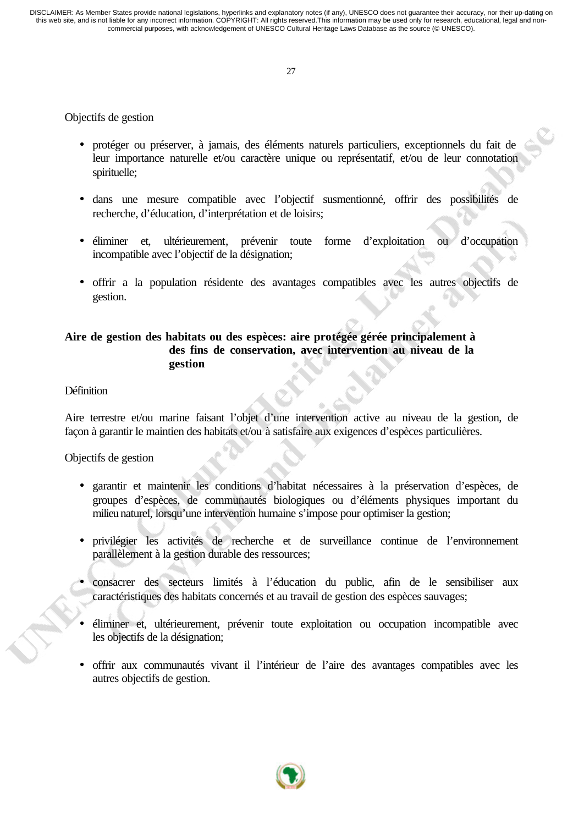# Objectifs de gestion

- protéger ou préserver, à jamais, des éléments naturels particuliers, exceptionnels du fait de leur importance naturelle et/ou caractère unique ou représentatif, et/ou de leur connotation spirituelle;
- dans une mesure compatible avec l'objectif susmentionné, offrir des possibilités de recherche, d'éducation, d'interprétation et de loisirs;
- éliminer et, ultérieurement, prévenir toute forme d'exploitation ou d'occupation incompatible avec l'objectif de la désignation;
- offrir a la population résidente des avantages compatibles avec les autres objectifs de gestion.

# **Aire de gestion des habitats ou des espèces: aire protégée gérée principalement à des fins de conservation, avec intervention au niveau de la gestion**

#### Définition

Aire terrestre et/ou marine faisant l'objet d'une intervention active au niveau de la gestion, de façon à garantir le maintien des habitats et/ou à satisfaire aux exigences d'espèces particulières.

Objectifs de gestion

- garantir et maintenir les conditions d'habitat nécessaires à la préservation d'espèces, de groupes d'espèces, de communautés biologiques ou d'éléments physiques important du milieu naturel, lorsqu'une intervention humaine s'impose pour optimiser la gestion;
- privilégier les activités de recherche et de surveillance continue de l'environnement parallèlement à la gestion durable des ressources;
- consacrer des secteurs limités à l'éducation du public, afin de le sensibiliser aux caractéristiques des habitats concernés et au travail de gestion des espèces sauvages;
- éliminer et, ultérieurement, prévenir toute exploitation ou occupation incompatible avec les objectifs de la désignation;
- offrir aux communautés vivant il l'intérieur de l'aire des avantages compatibles avec les autres objectifs de gestion.

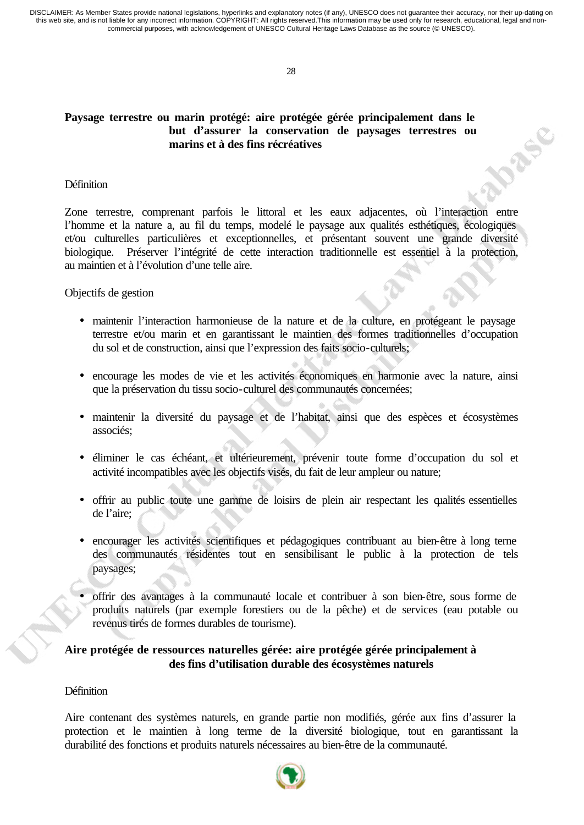28

## **Paysage terrestre ou marin protégé: aire protégée gérée principalement dans le but d'assurer la conservation de paysages terrestres ou marins et à des fins récréatives**

#### **Définition**

Zone terrestre, comprenant parfois le littoral et les eaux adjacentes, où l'interaction entre l'homme et la nature a, au fil du temps, modelé le paysage aux qualités esthétiques, écologiques et/ou culturelles particulières et exceptionnelles, et présentant souvent une grande diversité biologique. Préserver l'intégrité de cette interaction traditionnelle est essentiel à la protection, au maintien et à l'évolution d'une telle aire.

**N255** 

Objectifs de gestion

- maintenir l'interaction harmonieuse de la nature et de la culture, en protégeant le paysage terrestre et/ou marin et en garantissant le maintien des formes traditionnelles d'occupation du sol et de construction, ainsi que l'expression des faits socio-culturels;
- encourage les modes de vie et les activités économiques en harmonie avec la nature, ainsi que la préservation du tissu socio-culturel des communautés concernées;
- maintenir la diversité du paysage et de l'habitat, ainsi que des espèces et écosystèmes associés;
- éliminer le cas échéant, et ultérieurement, prévenir toute forme d'occupation du sol et activité incompatibles avec les objectifs visés, du fait de leur ampleur ou nature;
- offrir au public toute une gamme de loisirs de plein air respectant les qualités essentielles de l'aire;
- encourager les activités scientifiques et pédagogiques contribuant au bien-être à long terne des communautés résidentes tout en sensibilisant le public à la protection de tels paysages;
- offrir des avantages à la communauté locale et contribuer à son bien-être, sous forme de produits naturels (par exemple forestiers ou de la pêche) et de services (eau potable ou revenus tirés de formes durables de tourisme).

## **Aire protégée de ressources naturelles gérée: aire protégée gérée principalement à des fins d'utilisation durable des écosystèmes naturels**

#### **Définition**

Aire contenant des systèmes naturels, en grande partie non modifiés, gérée aux fins d'assurer la protection et le maintien à long terme de la diversité biologique, tout en garantissant la durabilité des fonctions et produits naturels nécessaires au bien-être de la communauté.

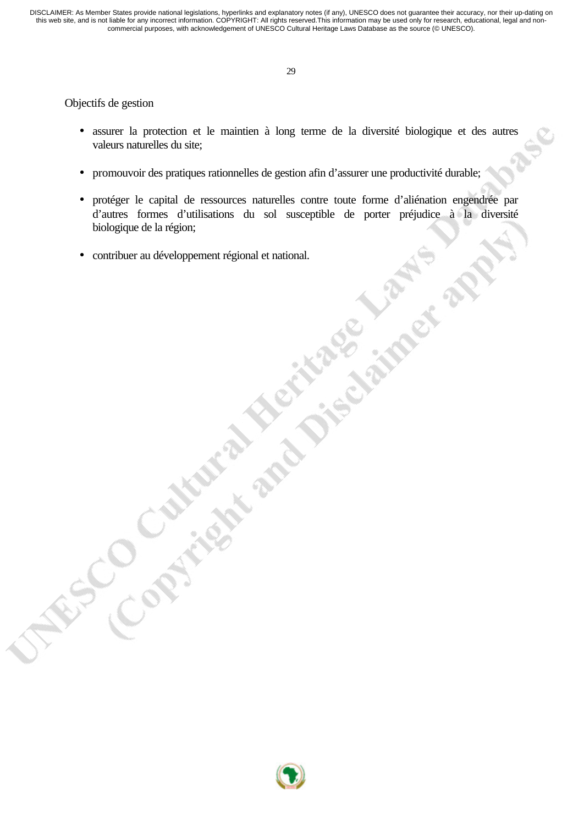Objectifs de gestion

- assurer la protection et le maintien à long terme de la diversité biologique et des autres valeurs naturelles du site;
- promouvoir des pratiques rationnelles de gestion afin d'assurer une productivité durable;
- protéger le capital de ressources naturelles contre toute forme d'aliénation engendrée par d'autres formes d'utilisations du sol susceptible de porter préjudice à la diversité biologique de la région;
- contribuer au développement régional et national.